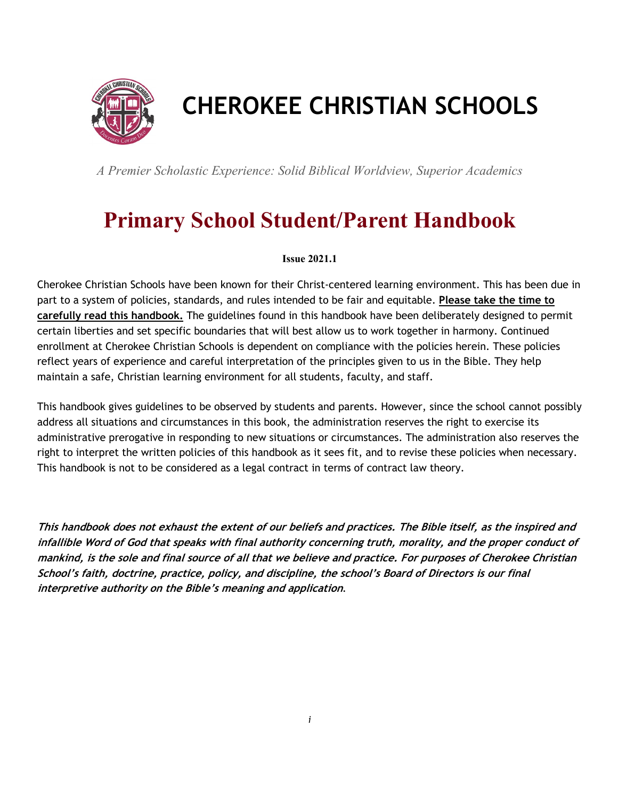

# **CHEROKEE CHRISTIAN SCHOOLS**

*A Premier Scholastic Experience: Solid Biblical Worldview, Superior Academics* 

# **Primary School Student/Parent Handbook**

#### **Issue 2021.1**

Cherokee Christian Schools have been known for their Christ-centered learning environment. This has been due in part to a system of policies, standards, and rules intended to be fair and equitable. **Please take the time to carefully read this handbook.** The guidelines found in this handbook have been deliberately designed to permit certain liberties and set specific boundaries that will best allow us to work together in harmony. Continued enrollment at Cherokee Christian Schools is dependent on compliance with the policies herein. These policies reflect years of experience and careful interpretation of the principles given to us in the Bible. They help maintain a safe, Christian learning environment for all students, faculty, and staff.

This handbook gives guidelines to be observed by students and parents. However, since the school cannot possibly address all situations and circumstances in this book, the administration reserves the right to exercise its administrative prerogative in responding to new situations or circumstances. The administration also reserves the right to interpret the written policies of this handbook as it sees fit, and to revise these policies when necessary. This handbook is not to be considered as a legal contract in terms of contract law theory.

**This handbook does not exhaust the extent of our beliefs and practices. The Bible itself, as the inspired and infallible Word of God that speaks with final authority concerning truth, morality, and the proper conduct of mankind, is the sole and final source of all that we believe and practice. For purposes of Cherokee Christian School's faith, doctrine, practice, policy, and discipline, the school's Board of Directors is our final interpretive authority on the Bible's meaning and application**.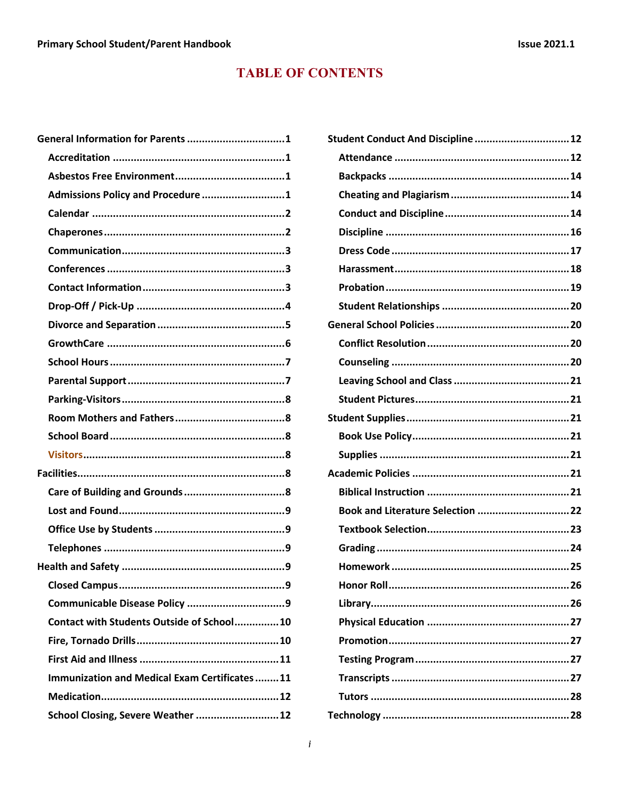# **TABLE OF CONTENTS**

| General Information for Parents 1            |   |
|----------------------------------------------|---|
|                                              |   |
|                                              |   |
| Admissions Policy and Procedure 1            |   |
|                                              |   |
|                                              |   |
|                                              |   |
|                                              |   |
|                                              |   |
|                                              |   |
|                                              |   |
|                                              |   |
|                                              |   |
|                                              |   |
|                                              |   |
|                                              |   |
|                                              |   |
|                                              |   |
|                                              |   |
|                                              |   |
|                                              |   |
|                                              |   |
|                                              |   |
|                                              |   |
| <b>Closed Campus</b><br>                     | 9 |
|                                              |   |
| Contact with Students Outside of School10    |   |
|                                              |   |
|                                              |   |
| Immunization and Medical Exam Certificates11 |   |
|                                              |   |
| School Closing, Severe Weather  12           |   |
|                                              |   |

| Student Conduct And Discipline  12 |  |
|------------------------------------|--|
|                                    |  |
|                                    |  |
|                                    |  |
|                                    |  |
|                                    |  |
|                                    |  |
|                                    |  |
|                                    |  |
|                                    |  |
|                                    |  |
|                                    |  |
|                                    |  |
|                                    |  |
|                                    |  |
|                                    |  |
|                                    |  |
|                                    |  |
|                                    |  |
|                                    |  |
| Book and Literature Selection 22   |  |
|                                    |  |
|                                    |  |
|                                    |  |
|                                    |  |
|                                    |  |
|                                    |  |
|                                    |  |
|                                    |  |
|                                    |  |
|                                    |  |
|                                    |  |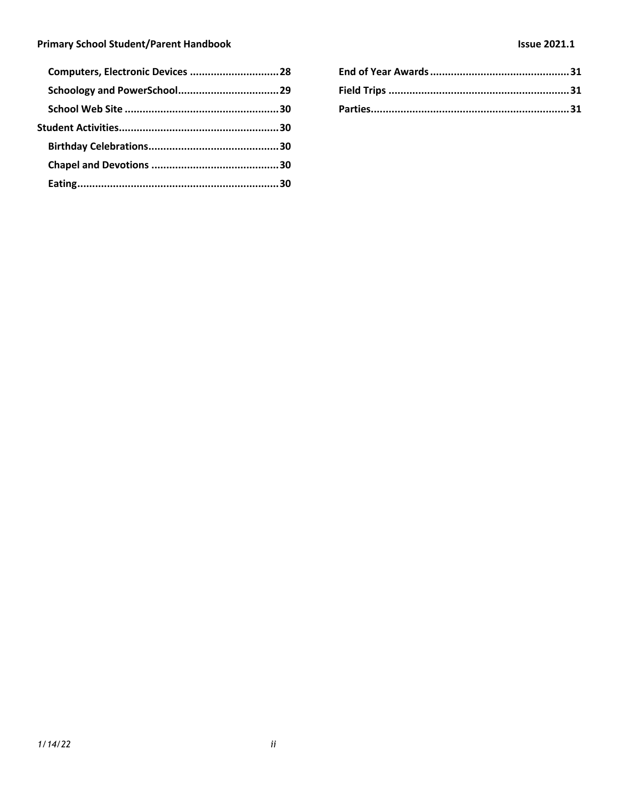#### **Primary School Student/Parent Handbook Issue 2021.1**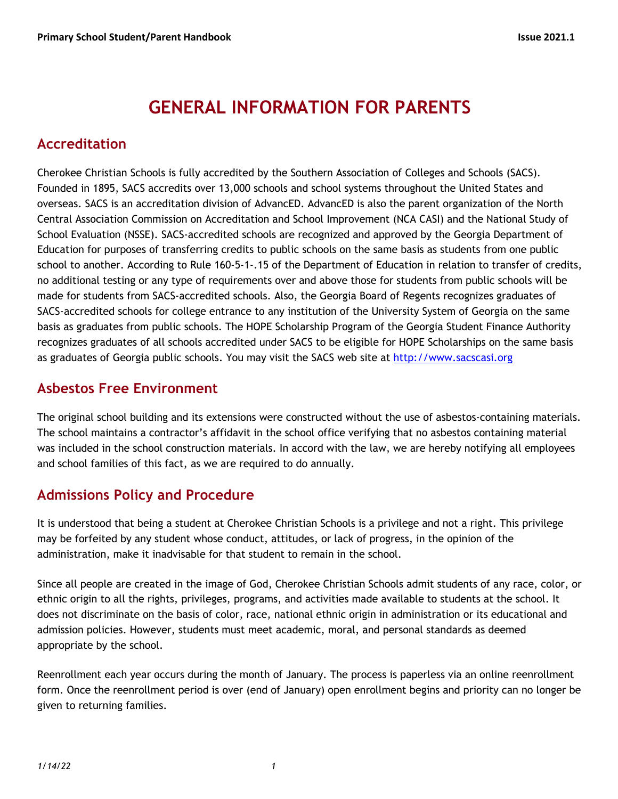# **GENERAL INFORMATION FOR PARENTS**

### **Accreditation**

Cherokee Christian Schools is fully accredited by the Southern Association of Colleges and Schools (SACS). Founded in 1895, SACS accredits over 13,000 schools and school systems throughout the United States and overseas. SACS is an accreditation division of AdvancED. AdvancED is also the parent organization of the North Central Association Commission on Accreditation and School Improvement (NCA CASI) and the National Study of School Evaluation (NSSE). SACS-accredited schools are recognized and approved by the Georgia Department of Education for purposes of transferring credits to public schools on the same basis as students from one public school to another. According to Rule 160-5-1-.15 of the Department of Education in relation to transfer of credits, no additional testing or any type of requirements over and above those for students from public schools will be made for students from SACS-accredited schools. Also, the Georgia Board of Regents recognizes graduates of SACS-accredited schools for college entrance to any institution of the University System of Georgia on the same basis as graduates from public schools. The HOPE Scholarship Program of the Georgia Student Finance Authority recognizes graduates of all schools accredited under SACS to be eligible for HOPE Scholarships on the same basis as graduates of Georgia public schools. You may visit the SACS web site at http://www.sacscasi.org

### **Asbestos Free Environment**

The original school building and its extensions were constructed without the use of asbestos-containing materials. The school maintains a contractor's affidavit in the school office verifying that no asbestos containing material was included in the school construction materials. In accord with the law, we are hereby notifying all employees and school families of this fact, as we are required to do annually.

# **Admissions Policy and Procedure**

It is understood that being a student at Cherokee Christian Schools is a privilege and not a right. This privilege may be forfeited by any student whose conduct, attitudes, or lack of progress, in the opinion of the administration, make it inadvisable for that student to remain in the school.

Since all people are created in the image of God, Cherokee Christian Schools admit students of any race, color, or ethnic origin to all the rights, privileges, programs, and activities made available to students at the school. It does not discriminate on the basis of color, race, national ethnic origin in administration or its educational and admission policies. However, students must meet academic, moral, and personal standards as deemed appropriate by the school.

Reenrollment each year occurs during the month of January. The process is paperless via an online reenrollment form. Once the reenrollment period is over (end of January) open enrollment begins and priority can no longer be given to returning families.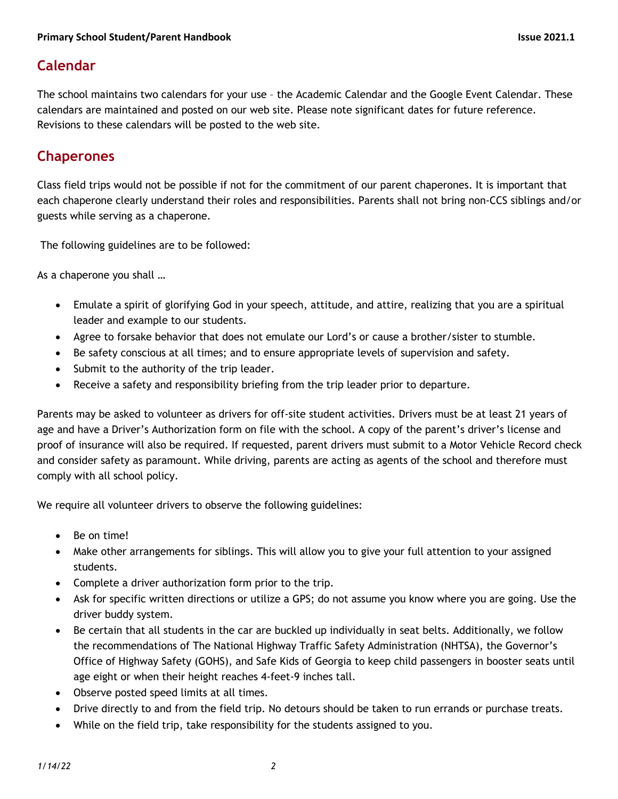# **Calendar**

The school maintains two calendars for your use – the Academic Calendar and the Google Event Calendar. These calendars are maintained and posted on our web site. Please note significant dates for future reference. Revisions to these calendars will be posted to the web site.

### **Chaperones**

Class field trips would not be possible if not for the commitment of our parent chaperones. It is important that each chaperone clearly understand their roles and responsibilities. Parents shall not bring non-CCS siblings and/or guests while serving as a chaperone.

The following guidelines are to be followed:

As a chaperone you shall …

- Emulate a spirit of glorifying God in your speech, attitude, and attire, realizing that you are a spiritual leader and example to our students.
- Agree to forsake behavior that does not emulate our Lord's or cause a brother/sister to stumble.
- Be safety conscious at all times; and to ensure appropriate levels of supervision and safety.
- Submit to the authority of the trip leader.
- Receive a safety and responsibility briefing from the trip leader prior to departure.

Parents may be asked to volunteer as drivers for off-site student activities. Drivers must be at least 21 years of age and have a Driver's Authorization form on file with the school. A copy of the parent's driver's license and proof of insurance will also be required. If requested, parent drivers must submit to a Motor Vehicle Record check and consider safety as paramount. While driving, parents are acting as agents of the school and therefore must comply with all school policy.

We require all volunteer drivers to observe the following guidelines:

- Be on time!
- Make other arrangements for siblings. This will allow you to give your full attention to your assigned students.
- Complete a driver authorization form prior to the trip.
- Ask for specific written directions or utilize a GPS; do not assume you know where you are going. Use the driver buddy system.
- Be certain that all students in the car are buckled up individually in seat belts. Additionally, we follow the recommendations of The National Highway Traffic Safety Administration (NHTSA), the Governor's Office of Highway Safety (GOHS), and Safe Kids of Georgia to keep child passengers in booster seats until age eight or when their height reaches 4-feet-9 inches tall.
- Observe posted speed limits at all times.
- Drive directly to and from the field trip. No detours should be taken to run errands or purchase treats.
- While on the field trip, take responsibility for the students assigned to you.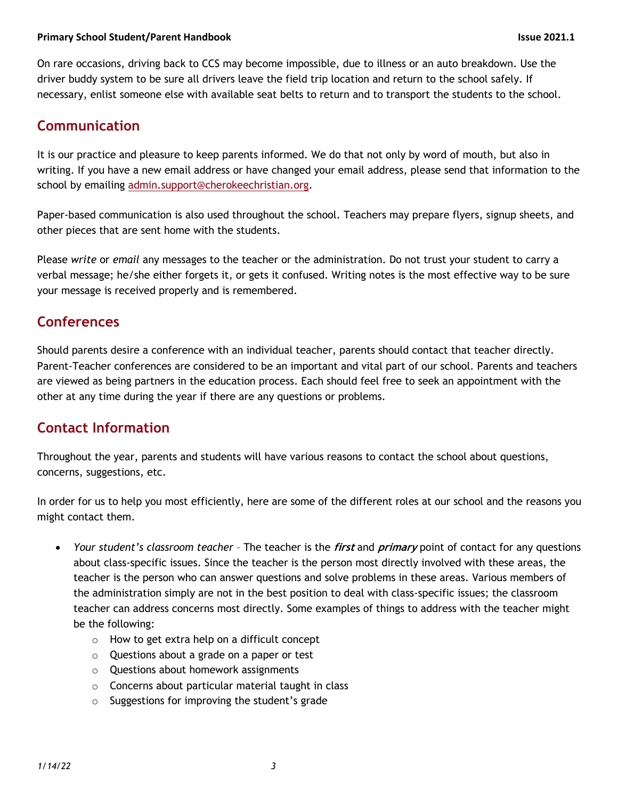On rare occasions, driving back to CCS may become impossible, due to illness or an auto breakdown. Use the driver buddy system to be sure all drivers leave the field trip location and return to the school safely. If necessary, enlist someone else with available seat belts to return and to transport the students to the school.

## **Communication**

It is our practice and pleasure to keep parents informed. We do that not only by word of mouth, but also in writing. If you have a new email address or have changed your email address, please send that information to the school by emailing admin.support@cherokeechristian.org.

Paper-based communication is also used throughout the school. Teachers may prepare flyers, signup sheets, and other pieces that are sent home with the students.

Please *write* or *email* any messages to the teacher or the administration. Do not trust your student to carry a verbal message; he/she either forgets it, or gets it confused. Writing notes is the most effective way to be sure your message is received properly and is remembered.

### **Conferences**

Should parents desire a conference with an individual teacher, parents should contact that teacher directly. Parent-Teacher conferences are considered to be an important and vital part of our school. Parents and teachers are viewed as being partners in the education process. Each should feel free to seek an appointment with the other at any time during the year if there are any questions or problems.

# **Contact Information**

Throughout the year, parents and students will have various reasons to contact the school about questions, concerns, suggestions, etc.

In order for us to help you most efficiently, here are some of the different roles at our school and the reasons you might contact them.

- *Your student's classroom teacher* The teacher is the **first** and **primary** point of contact for any questions about class-specific issues. Since the teacher is the person most directly involved with these areas, the teacher is the person who can answer questions and solve problems in these areas. Various members of the administration simply are not in the best position to deal with class-specific issues; the classroom teacher can address concerns most directly. Some examples of things to address with the teacher might be the following:
	- o How to get extra help on a difficult concept
	- o Questions about a grade on a paper or test
	- o Questions about homework assignments
	- o Concerns about particular material taught in class
	- o Suggestions for improving the student's grade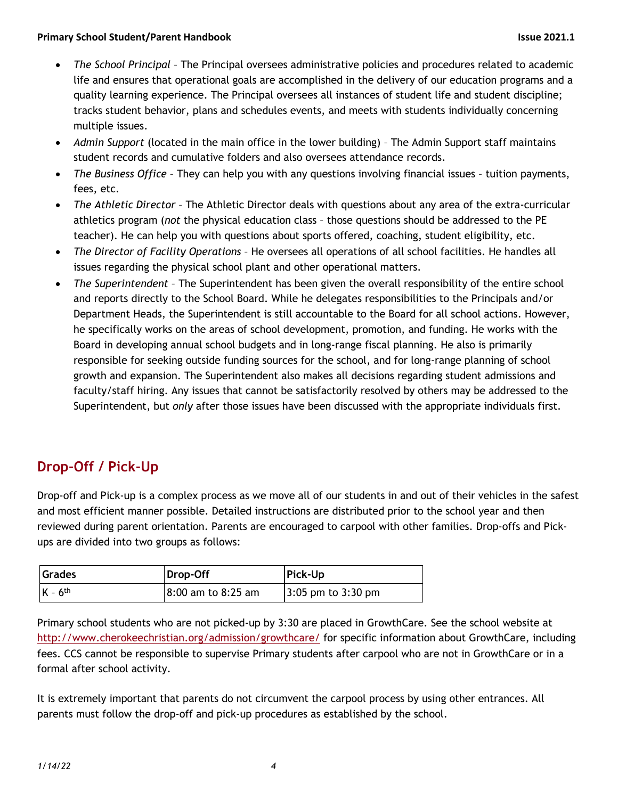- *The School Principal* The Principal oversees administrative policies and procedures related to academic life and ensures that operational goals are accomplished in the delivery of our education programs and a quality learning experience. The Principal oversees all instances of student life and student discipline; tracks student behavior, plans and schedules events, and meets with students individually concerning multiple issues.
- *Admin Support* (located in the main office in the lower building) The Admin Support staff maintains student records and cumulative folders and also oversees attendance records.
- *The Business Office* They can help you with any questions involving financial issues tuition payments, fees, etc.
- *The Athletic Director*  The Athletic Director deals with questions about any area of the extra-curricular athletics program (*not* the physical education class – those questions should be addressed to the PE teacher). He can help you with questions about sports offered, coaching, student eligibility, etc.
- *The Director of Facility Operations* He oversees all operations of all school facilities. He handles all issues regarding the physical school plant and other operational matters.
- *The Superintendent* The Superintendent has been given the overall responsibility of the entire school and reports directly to the School Board. While he delegates responsibilities to the Principals and/or Department Heads, the Superintendent is still accountable to the Board for all school actions. However, he specifically works on the areas of school development, promotion, and funding. He works with the Board in developing annual school budgets and in long-range fiscal planning. He also is primarily responsible for seeking outside funding sources for the school, and for long-range planning of school growth and expansion. The Superintendent also makes all decisions regarding student admissions and faculty/staff hiring. Any issues that cannot be satisfactorily resolved by others may be addressed to the Superintendent, but *only* after those issues have been discussed with the appropriate individuals first.

# **Drop-Off / Pick-Up**

Drop-off and Pick-up is a complex process as we move all of our students in and out of their vehicles in the safest and most efficient manner possible. Detailed instructions are distributed prior to the school year and then reviewed during parent orientation. Parents are encouraged to carpool with other families. Drop-offs and Pickups are divided into two groups as follows:

| Grades                | Drop-Off           | <b>Pick-Up</b>         |
|-----------------------|--------------------|------------------------|
| $K - 6$ <sup>th</sup> | 8:00 am to 8:25 am | $3:05$ pm to $3:30$ pm |

Primary school students who are not picked-up by 3:30 are placed in GrowthCare. See the school website at http://www.cherokeechristian.org/admission/growthcare/ for specific information about GrowthCare, including fees. CCS cannot be responsible to supervise Primary students after carpool who are not in GrowthCare or in a formal after school activity.

It is extremely important that parents do not circumvent the carpool process by using other entrances. All parents must follow the drop-off and pick-up procedures as established by the school.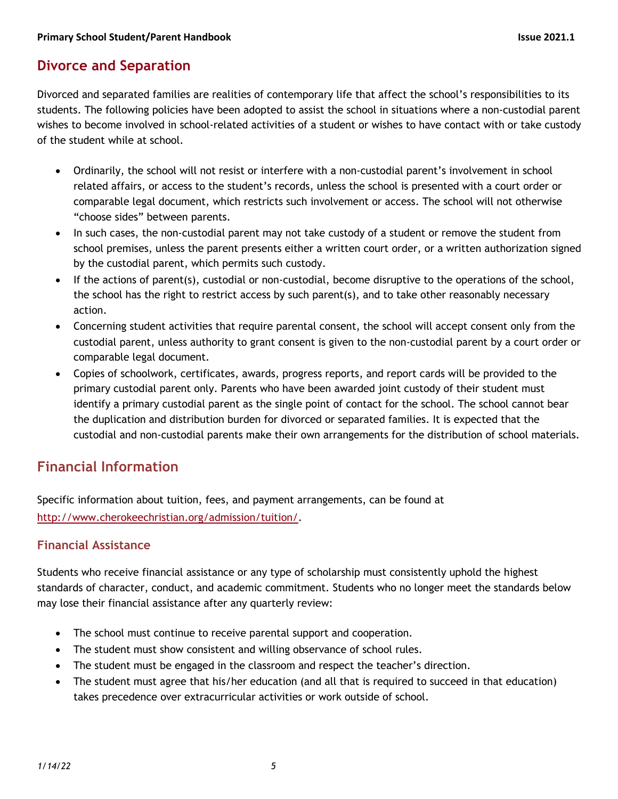### **Divorce and Separation**

Divorced and separated families are realities of contemporary life that affect the school's responsibilities to its students. The following policies have been adopted to assist the school in situations where a non-custodial parent wishes to become involved in school-related activities of a student or wishes to have contact with or take custody of the student while at school.

- Ordinarily, the school will not resist or interfere with a non-custodial parent's involvement in school related affairs, or access to the student's records, unless the school is presented with a court order or comparable legal document, which restricts such involvement or access. The school will not otherwise "choose sides" between parents.
- In such cases, the non-custodial parent may not take custody of a student or remove the student from school premises, unless the parent presents either a written court order, or a written authorization signed by the custodial parent, which permits such custody.
- If the actions of parent(s), custodial or non-custodial, become disruptive to the operations of the school, the school has the right to restrict access by such parent(s), and to take other reasonably necessary action.
- Concerning student activities that require parental consent, the school will accept consent only from the custodial parent, unless authority to grant consent is given to the non-custodial parent by a court order or comparable legal document.
- Copies of schoolwork, certificates, awards, progress reports, and report cards will be provided to the primary custodial parent only. Parents who have been awarded joint custody of their student must identify a primary custodial parent as the single point of contact for the school. The school cannot bear the duplication and distribution burden for divorced or separated families. It is expected that the custodial and non-custodial parents make their own arrangements for the distribution of school materials.

# **Financial Information**

Specific information about tuition, fees, and payment arrangements, can be found at http://www.cherokeechristian.org/admission/tuition/.

#### **Financial Assistance**

Students who receive financial assistance or any type of scholarship must consistently uphold the highest standards of character, conduct, and academic commitment. Students who no longer meet the standards below may lose their financial assistance after any quarterly review:

- The school must continue to receive parental support and cooperation.
- The student must show consistent and willing observance of school rules.
- The student must be engaged in the classroom and respect the teacher's direction.
- The student must agree that his/her education (and all that is required to succeed in that education) takes precedence over extracurricular activities or work outside of school.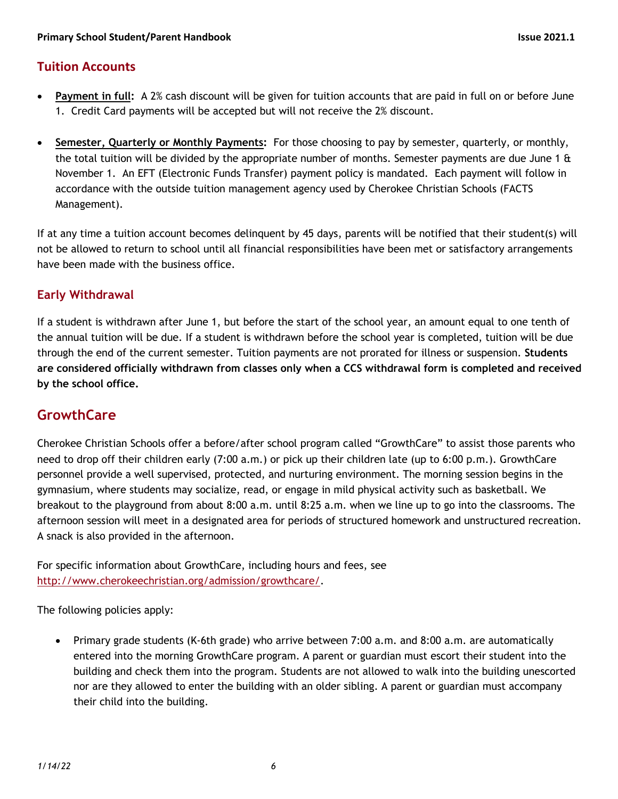#### **Tuition Accounts**

- **Payment in full:** A 2% cash discount will be given for tuition accounts that are paid in full on or before June 1. Credit Card payments will be accepted but will not receive the 2% discount.
- **Semester, Quarterly or Monthly Payments:** For those choosing to pay by semester, quarterly, or monthly, the total tuition will be divided by the appropriate number of months. Semester payments are due June 1  $\alpha$ November 1. An EFT (Electronic Funds Transfer) payment policy is mandated. Each payment will follow in accordance with the outside tuition management agency used by Cherokee Christian Schools (FACTS Management).

If at any time a tuition account becomes delinquent by 45 days, parents will be notified that their student(s) will not be allowed to return to school until all financial responsibilities have been met or satisfactory arrangements have been made with the business office.

#### **Early Withdrawal**

If a student is withdrawn after June 1, but before the start of the school year, an amount equal to one tenth of the annual tuition will be due. If a student is withdrawn before the school year is completed, tuition will be due through the end of the current semester. Tuition payments are not prorated for illness or suspension. **Students are considered officially withdrawn from classes only when a CCS withdrawal form is completed and received by the school office.**

# **GrowthCare**

Cherokee Christian Schools offer a before/after school program called "GrowthCare" to assist those parents who need to drop off their children early (7:00 a.m.) or pick up their children late (up to 6:00 p.m.). GrowthCare personnel provide a well supervised, protected, and nurturing environment. The morning session begins in the gymnasium, where students may socialize, read, or engage in mild physical activity such as basketball. We breakout to the playground from about 8:00 a.m. until 8:25 a.m. when we line up to go into the classrooms. The afternoon session will meet in a designated area for periods of structured homework and unstructured recreation. A snack is also provided in the afternoon.

For specific information about GrowthCare, including hours and fees, see http://www.cherokeechristian.org/admission/growthcare/.

The following policies apply:

• Primary grade students (K-6th grade) who arrive between 7:00 a.m. and 8:00 a.m. are automatically entered into the morning GrowthCare program. A parent or guardian must escort their student into the building and check them into the program. Students are not allowed to walk into the building unescorted nor are they allowed to enter the building with an older sibling. A parent or guardian must accompany their child into the building.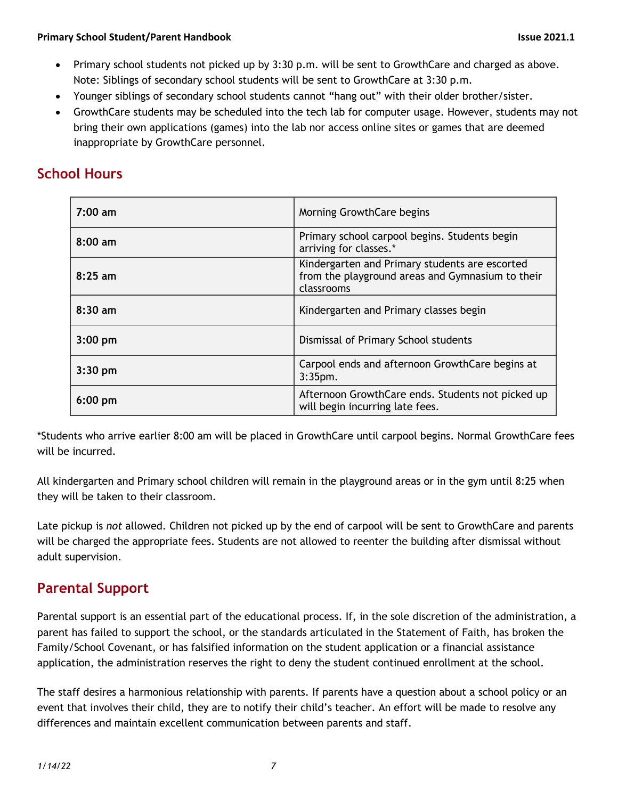- Primary school students not picked up by 3:30 p.m. will be sent to GrowthCare and charged as above. Note: Siblings of secondary school students will be sent to GrowthCare at 3:30 p.m.
- Younger siblings of secondary school students cannot "hang out" with their older brother/sister.
- GrowthCare students may be scheduled into the tech lab for computer usage. However, students may not bring their own applications (games) into the lab nor access online sites or games that are deemed inappropriate by GrowthCare personnel.

## **School Hours**

| 7:00 am           | Morning GrowthCare begins                                                                                        |
|-------------------|------------------------------------------------------------------------------------------------------------------|
| $8:00 \text{ am}$ | Primary school carpool begins. Students begin<br>arriving for classes.*                                          |
| $8:25$ am         | Kindergarten and Primary students are escorted<br>from the playground areas and Gymnasium to their<br>classrooms |
| $8:30$ am         | Kindergarten and Primary classes begin                                                                           |
| $3:00$ pm         | Dismissal of Primary School students                                                                             |
| $3:30$ pm         | Carpool ends and afternoon GrowthCare begins at<br>$3:35$ pm.                                                    |
| $6:00$ pm         | Afternoon GrowthCare ends. Students not picked up<br>will begin incurring late fees.                             |

\*Students who arrive earlier 8:00 am will be placed in GrowthCare until carpool begins. Normal GrowthCare fees will be incurred.

All kindergarten and Primary school children will remain in the playground areas or in the gym until 8:25 when they will be taken to their classroom.

Late pickup is *not* allowed. Children not picked up by the end of carpool will be sent to GrowthCare and parents will be charged the appropriate fees. Students are not allowed to reenter the building after dismissal without adult supervision.

### **Parental Support**

Parental support is an essential part of the educational process. If, in the sole discretion of the administration, a parent has failed to support the school, or the standards articulated in the Statement of Faith, has broken the Family/School Covenant, or has falsified information on the student application or a financial assistance application, the administration reserves the right to deny the student continued enrollment at the school.

The staff desires a harmonious relationship with parents. If parents have a question about a school policy or an event that involves their child, they are to notify their child's teacher. An effort will be made to resolve any differences and maintain excellent communication between parents and staff.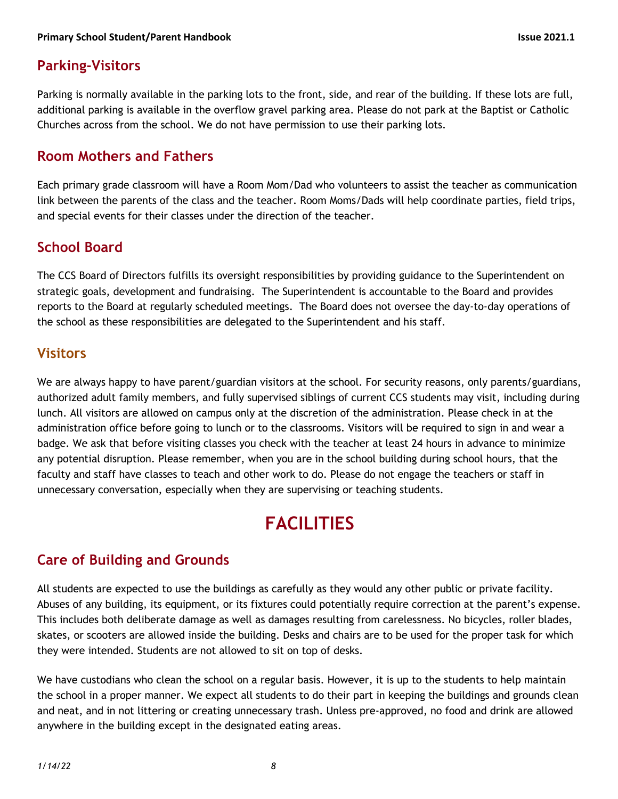## **Parking-Visitors**

Parking is normally available in the parking lots to the front, side, and rear of the building. If these lots are full, additional parking is available in the overflow gravel parking area. Please do not park at the Baptist or Catholic Churches across from the school. We do not have permission to use their parking lots.

#### **Room Mothers and Fathers**

Each primary grade classroom will have a Room Mom/Dad who volunteers to assist the teacher as communication link between the parents of the class and the teacher. Room Moms/Dads will help coordinate parties, field trips, and special events for their classes under the direction of the teacher.

### **School Board**

The CCS Board of Directors fulfills its oversight responsibilities by providing guidance to the Superintendent on strategic goals, development and fundraising. The Superintendent is accountable to the Board and provides reports to the Board at regularly scheduled meetings. The Board does not oversee the day-to-day operations of the school as these responsibilities are delegated to the Superintendent and his staff.

#### **Visitors**

We are always happy to have parent/guardian visitors at the school. For security reasons, only parents/guardians, authorized adult family members, and fully supervised siblings of current CCS students may visit, including during lunch. All visitors are allowed on campus only at the discretion of the administration. Please check in at the administration office before going to lunch or to the classrooms. Visitors will be required to sign in and wear a badge. We ask that before visiting classes you check with the teacher at least 24 hours in advance to minimize any potential disruption. Please remember, when you are in the school building during school hours, that the faculty and staff have classes to teach and other work to do. Please do not engage the teachers or staff in unnecessary conversation, especially when they are supervising or teaching students.

# **FACILITIES**

### **Care of Building and Grounds**

All students are expected to use the buildings as carefully as they would any other public or private facility. Abuses of any building, its equipment, or its fixtures could potentially require correction at the parent's expense. This includes both deliberate damage as well as damages resulting from carelessness. No bicycles, roller blades, skates, or scooters are allowed inside the building. Desks and chairs are to be used for the proper task for which they were intended. Students are not allowed to sit on top of desks.

We have custodians who clean the school on a regular basis. However, it is up to the students to help maintain the school in a proper manner. We expect all students to do their part in keeping the buildings and grounds clean and neat, and in not littering or creating unnecessary trash. Unless pre-approved, no food and drink are allowed anywhere in the building except in the designated eating areas.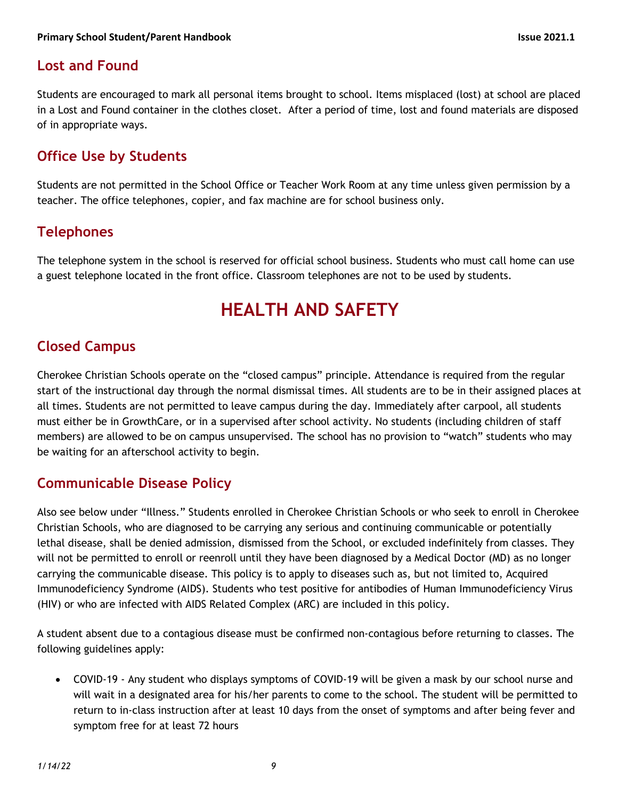## **Lost and Found**

Students are encouraged to mark all personal items brought to school. Items misplaced (lost) at school are placed in a Lost and Found container in the clothes closet. After a period of time, lost and found materials are disposed of in appropriate ways.

## **Office Use by Students**

Students are not permitted in the School Office or Teacher Work Room at any time unless given permission by a teacher. The office telephones, copier, and fax machine are for school business only.

# **Telephones**

The telephone system in the school is reserved for official school business. Students who must call home can use a guest telephone located in the front office. Classroom telephones are not to be used by students.

# **HEALTH AND SAFETY**

# **Closed Campus**

Cherokee Christian Schools operate on the "closed campus" principle. Attendance is required from the regular start of the instructional day through the normal dismissal times. All students are to be in their assigned places at all times. Students are not permitted to leave campus during the day. Immediately after carpool, all students must either be in GrowthCare, or in a supervised after school activity. No students (including children of staff members) are allowed to be on campus unsupervised. The school has no provision to "watch" students who may be waiting for an afterschool activity to begin.

### **Communicable Disease Policy**

Also see below under "Illness." Students enrolled in Cherokee Christian Schools or who seek to enroll in Cherokee Christian Schools, who are diagnosed to be carrying any serious and continuing communicable or potentially lethal disease, shall be denied admission, dismissed from the School, or excluded indefinitely from classes. They will not be permitted to enroll or reenroll until they have been diagnosed by a Medical Doctor (MD) as no longer carrying the communicable disease. This policy is to apply to diseases such as, but not limited to, Acquired Immunodeficiency Syndrome (AIDS). Students who test positive for antibodies of Human Immunodeficiency Virus (HIV) or who are infected with AIDS Related Complex (ARC) are included in this policy.

A student absent due to a contagious disease must be confirmed non-contagious before returning to classes. The following guidelines apply:

• COVID-19 - Any student who displays symptoms of COVID-19 will be given a mask by our school nurse and will wait in a designated area for his/her parents to come to the school. The student will be permitted to return to in-class instruction after at least 10 days from the onset of symptoms and after being fever and symptom free for at least 72 hours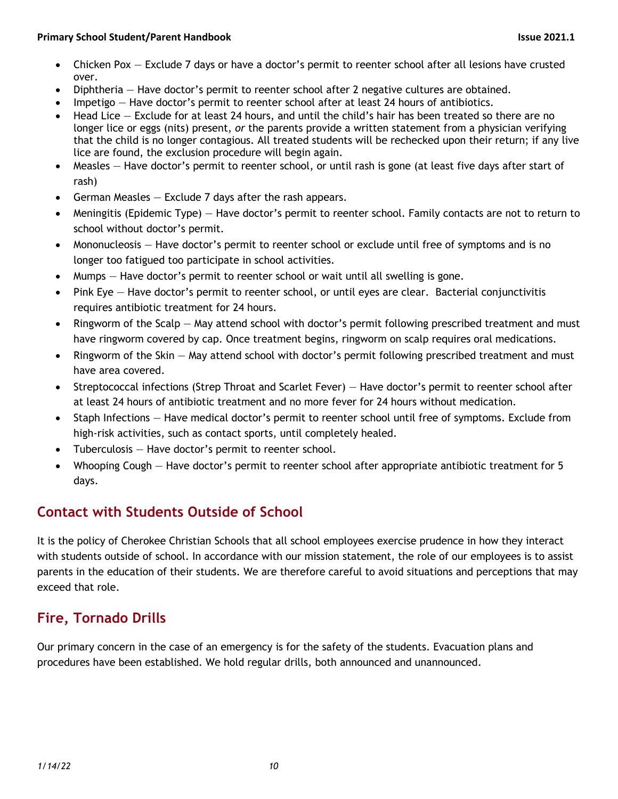- Chicken Pox Exclude 7 days or have a doctor's permit to reenter school after all lesions have crusted over.
- Diphtheria Have doctor's permit to reenter school after 2 negative cultures are obtained.
- Impetigo Have doctor's permit to reenter school after at least 24 hours of antibiotics.
- Head Lice Exclude for at least 24 hours, and until the child's hair has been treated so there are no longer lice or eggs (nits) present, *or* the parents provide a written statement from a physician verifying that the child is no longer contagious. All treated students will be rechecked upon their return; if any live lice are found, the exclusion procedure will begin again.
- Measles Have doctor's permit to reenter school, or until rash is gone (at least five days after start of rash)
- German Measles Exclude 7 days after the rash appears.
- Meningitis (Epidemic Type) Have doctor's permit to reenter school. Family contacts are not to return to school without doctor's permit.
- Mononucleosis Have doctor's permit to reenter school or exclude until free of symptoms and is no longer too fatigued too participate in school activities.
- Mumps Have doctor's permit to reenter school or wait until all swelling is gone.
- Pink Eye Have doctor's permit to reenter school, or until eyes are clear. Bacterial conjunctivitis requires antibiotic treatment for 24 hours.
- Ringworm of the Scalp  $-$  May attend school with doctor's permit following prescribed treatment and must have ringworm covered by cap. Once treatment begins, ringworm on scalp requires oral medications.
- Ringworm of the Skin May attend school with doctor's permit following prescribed treatment and must have area covered.
- Streptococcal infections (Strep Throat and Scarlet Fever) Have doctor's permit to reenter school after at least 24 hours of antibiotic treatment and no more fever for 24 hours without medication.
- Staph Infections Have medical doctor's permit to reenter school until free of symptoms. Exclude from high-risk activities, such as contact sports, until completely healed.
- Tuberculosis Have doctor's permit to reenter school.
- Whooping Cough Have doctor's permit to reenter school after appropriate antibiotic treatment for 5 days.

# **Contact with Students Outside of School**

It is the policy of Cherokee Christian Schools that all school employees exercise prudence in how they interact with students outside of school. In accordance with our mission statement, the role of our employees is to assist parents in the education of their students. We are therefore careful to avoid situations and perceptions that may exceed that role.

# **Fire, Tornado Drills**

Our primary concern in the case of an emergency is for the safety of the students. Evacuation plans and procedures have been established. We hold regular drills, both announced and unannounced.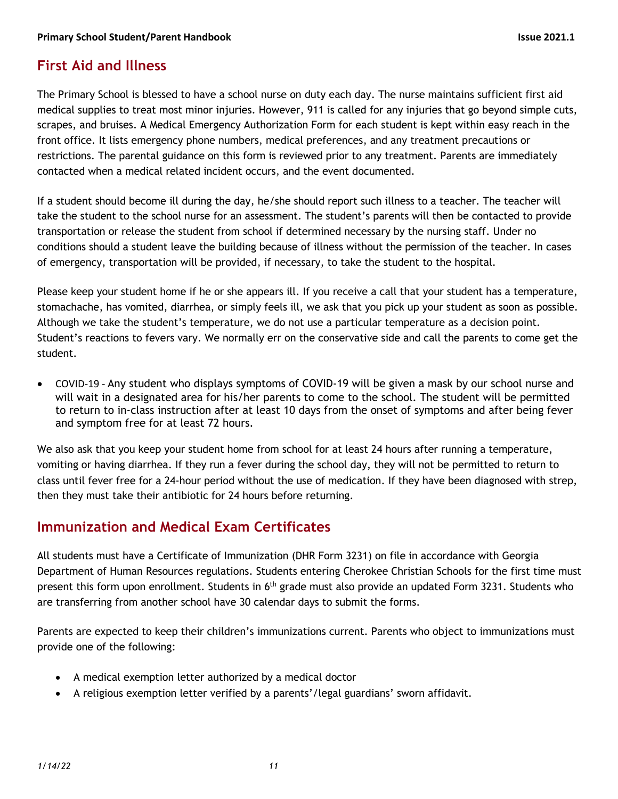# **First Aid and Illness**

The Primary School is blessed to have a school nurse on duty each day. The nurse maintains sufficient first aid medical supplies to treat most minor injuries. However, 911 is called for any injuries that go beyond simple cuts, scrapes, and bruises. A Medical Emergency Authorization Form for each student is kept within easy reach in the front office. It lists emergency phone numbers, medical preferences, and any treatment precautions or restrictions. The parental guidance on this form is reviewed prior to any treatment. Parents are immediately contacted when a medical related incident occurs, and the event documented.

If a student should become ill during the day, he/she should report such illness to a teacher. The teacher will take the student to the school nurse for an assessment. The student's parents will then be contacted to provide transportation or release the student from school if determined necessary by the nursing staff. Under no conditions should a student leave the building because of illness without the permission of the teacher. In cases of emergency, transportation will be provided, if necessary, to take the student to the hospital.

Please keep your student home if he or she appears ill. If you receive a call that your student has a temperature, stomachache, has vomited, diarrhea, or simply feels ill, we ask that you pick up your student as soon as possible. Although we take the student's temperature, we do not use a particular temperature as a decision point. Student's reactions to fevers vary. We normally err on the conservative side and call the parents to come get the student.

• COVID-19 - Any student who displays symptoms of COVID-19 will be given a mask by our school nurse and will wait in a designated area for his/her parents to come to the school. The student will be permitted to return to in-class instruction after at least 10 days from the onset of symptoms and after being fever and symptom free for at least 72 hours.

We also ask that you keep your student home from school for at least 24 hours after running a temperature, vomiting or having diarrhea. If they run a fever during the school day, they will not be permitted to return to class until fever free for a 24-hour period without the use of medication. If they have been diagnosed with strep, then they must take their antibiotic for 24 hours before returning.

### **Immunization and Medical Exam Certificates**

All students must have a Certificate of Immunization (DHR Form 3231) on file in accordance with Georgia Department of Human Resources regulations. Students entering Cherokee Christian Schools for the first time must present this form upon enrollment. Students in 6<sup>th</sup> grade must also provide an updated Form 3231. Students who are transferring from another school have 30 calendar days to submit the forms.

Parents are expected to keep their children's immunizations current. Parents who object to immunizations must provide one of the following:

- A medical exemption letter authorized by a medical doctor
- A religious exemption letter verified by a parents'/legal guardians' sworn affidavit.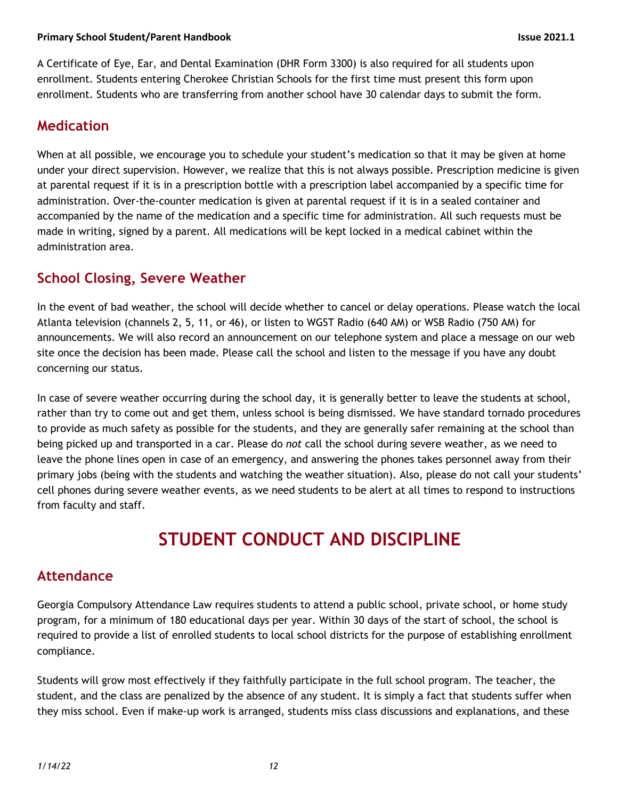A Certificate of Eye, Ear, and Dental Examination (DHR Form 3300) is also required for all students upon enrollment. Students entering Cherokee Christian Schools for the first time must present this form upon enrollment. Students who are transferring from another school have 30 calendar days to submit the form.

#### **Medication**

When at all possible, we encourage you to schedule your student's medication so that it may be given at home under your direct supervision. However, we realize that this is not always possible. Prescription medicine is given at parental request if it is in a prescription bottle with a prescription label accompanied by a specific time for administration. Over-the-counter medication is given at parental request if it is in a sealed container and accompanied by the name of the medication and a specific time for administration. All such requests must be made in writing, signed by a parent. All medications will be kept locked in a medical cabinet within the administration area.

# **School Closing, Severe Weather**

In the event of bad weather, the school will decide whether to cancel or delay operations. Please watch the local Atlanta television (channels 2, 5, 11, or 46), or listen to WGST Radio (640 AM) or WSB Radio (750 AM) for announcements. We will also record an announcement on our telephone system and place a message on our web site once the decision has been made. Please call the school and listen to the message if you have any doubt concerning our status.

In case of severe weather occurring during the school day, it is generally better to leave the students at school, rather than try to come out and get them, unless school is being dismissed. We have standard tornado procedures to provide as much safety as possible for the students, and they are generally safer remaining at the school than being picked up and transported in a car. Please do *not* call the school during severe weather, as we need to leave the phone lines open in case of an emergency, and answering the phones takes personnel away from their primary jobs (being with the students and watching the weather situation). Also, please do not call your students' cell phones during severe weather events, as we need students to be alert at all times to respond to instructions from faculty and staff.

# **STUDENT CONDUCT AND DISCIPLINE**

### **Attendance**

Georgia Compulsory Attendance Law requires students to attend a public school, private school, or home study program, for a minimum of 180 educational days per year. Within 30 days of the start of school, the school is required to provide a list of enrolled students to local school districts for the purpose of establishing enrollment compliance.

Students will grow most effectively if they faithfully participate in the full school program. The teacher, the student, and the class are penalized by the absence of any student. It is simply a fact that students suffer when they miss school. Even if make-up work is arranged, students miss class discussions and explanations, and these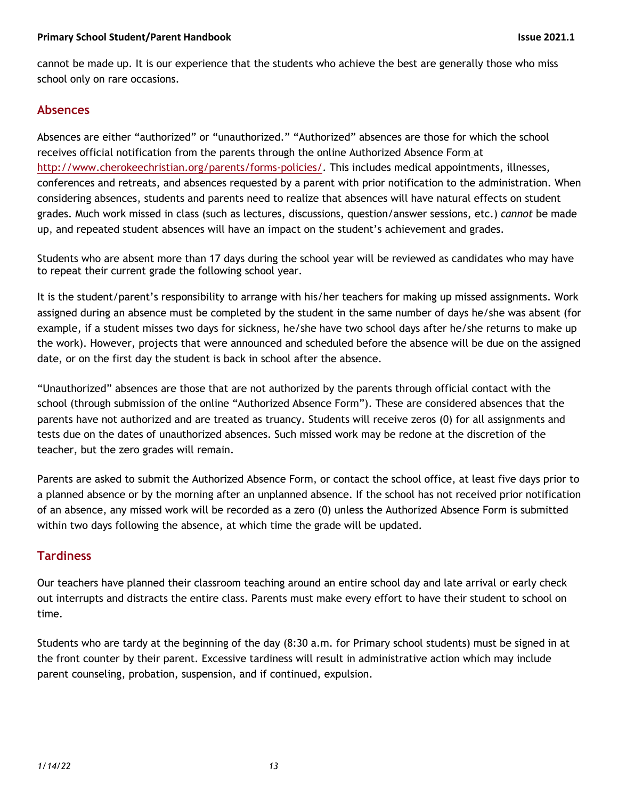cannot be made up. It is our experience that the students who achieve the best are generally those who miss school only on rare occasions.

#### **Absences**

Absences are either "authorized" or "unauthorized." "Authorized" absences are those for which the school receives official notification from the parents through the online Authorized Absence Form at http://www.cherokeechristian.org/parents/forms-policies/. This includes medical appointments, illnesses, conferences and retreats, and absences requested by a parent with prior notification to the administration. When considering absences, students and parents need to realize that absences will have natural effects on student grades. Much work missed in class (such as lectures, discussions, question/answer sessions, etc.) *cannot* be made up, and repeated student absences will have an impact on the student's achievement and grades.

Students who are absent more than 17 days during the school year will be reviewed as candidates who may have to repeat their current grade the following school year.

It is the student/parent's responsibility to arrange with his/her teachers for making up missed assignments. Work assigned during an absence must be completed by the student in the same number of days he/she was absent (for example, if a student misses two days for sickness, he/she have two school days after he/she returns to make up the work). However, projects that were announced and scheduled before the absence will be due on the assigned date, or on the first day the student is back in school after the absence.

"Unauthorized" absences are those that are not authorized by the parents through official contact with the school (through submission of the online "Authorized Absence Form"). These are considered absences that the parents have not authorized and are treated as truancy. Students will receive zeros (0) for all assignments and tests due on the dates of unauthorized absences. Such missed work may be redone at the discretion of the teacher, but the zero grades will remain.

Parents are asked to submit the Authorized Absence Form, or contact the school office, at least five days prior to a planned absence or by the morning after an unplanned absence. If the school has not received prior notification of an absence, any missed work will be recorded as a zero (0) unless the Authorized Absence Form is submitted within two days following the absence, at which time the grade will be updated.

#### **Tardiness**

Our teachers have planned their classroom teaching around an entire school day and late arrival or early check out interrupts and distracts the entire class. Parents must make every effort to have their student to school on time.

Students who are tardy at the beginning of the day (8:30 a.m. for Primary school students) must be signed in at the front counter by their parent. Excessive tardiness will result in administrative action which may include parent counseling, probation, suspension, and if continued, expulsion.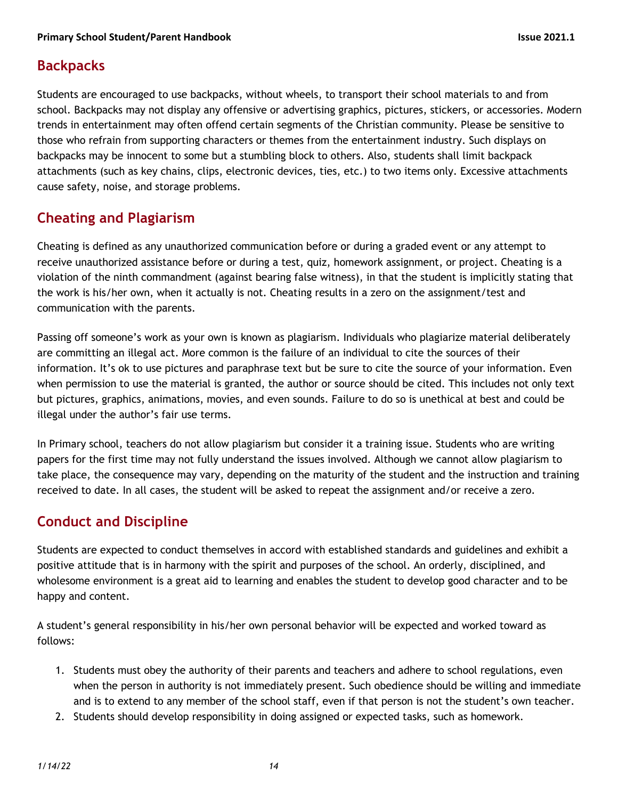## **Backpacks**

Students are encouraged to use backpacks, without wheels, to transport their school materials to and from school. Backpacks may not display any offensive or advertising graphics, pictures, stickers, or accessories. Modern trends in entertainment may often offend certain segments of the Christian community. Please be sensitive to those who refrain from supporting characters or themes from the entertainment industry. Such displays on backpacks may be innocent to some but a stumbling block to others. Also, students shall limit backpack attachments (such as key chains, clips, electronic devices, ties, etc.) to two items only. Excessive attachments cause safety, noise, and storage problems.

# **Cheating and Plagiarism**

Cheating is defined as any unauthorized communication before or during a graded event or any attempt to receive unauthorized assistance before or during a test, quiz, homework assignment, or project. Cheating is a violation of the ninth commandment (against bearing false witness), in that the student is implicitly stating that the work is his/her own, when it actually is not. Cheating results in a zero on the assignment/test and communication with the parents.

Passing off someone's work as your own is known as plagiarism. Individuals who plagiarize material deliberately are committing an illegal act. More common is the failure of an individual to cite the sources of their information. It's ok to use pictures and paraphrase text but be sure to cite the source of your information. Even when permission to use the material is granted, the author or source should be cited. This includes not only text but pictures, graphics, animations, movies, and even sounds. Failure to do so is unethical at best and could be illegal under the author's fair use terms.

In Primary school, teachers do not allow plagiarism but consider it a training issue. Students who are writing papers for the first time may not fully understand the issues involved. Although we cannot allow plagiarism to take place, the consequence may vary, depending on the maturity of the student and the instruction and training received to date. In all cases, the student will be asked to repeat the assignment and/or receive a zero.

# **Conduct and Discipline**

Students are expected to conduct themselves in accord with established standards and guidelines and exhibit a positive attitude that is in harmony with the spirit and purposes of the school. An orderly, disciplined, and wholesome environment is a great aid to learning and enables the student to develop good character and to be happy and content.

A student's general responsibility in his/her own personal behavior will be expected and worked toward as follows:

- 1. Students must obey the authority of their parents and teachers and adhere to school regulations, even when the person in authority is not immediately present. Such obedience should be willing and immediate and is to extend to any member of the school staff, even if that person is not the student's own teacher.
- 2. Students should develop responsibility in doing assigned or expected tasks, such as homework.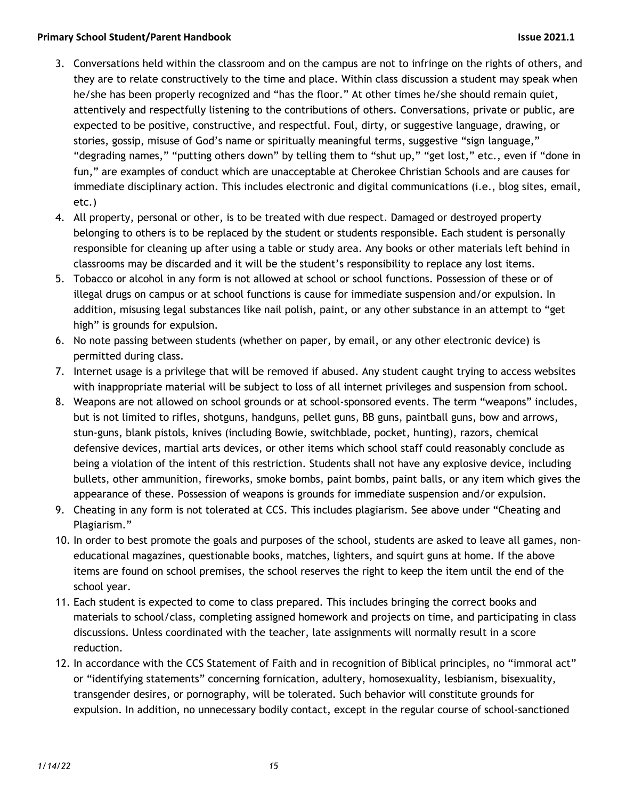#### **Primary School Student/Parent Handbook Issue 2021.1**

- 3. Conversations held within the classroom and on the campus are not to infringe on the rights of others, and they are to relate constructively to the time and place. Within class discussion a student may speak when he/she has been properly recognized and "has the floor." At other times he/she should remain quiet, attentively and respectfully listening to the contributions of others. Conversations, private or public, are expected to be positive, constructive, and respectful. Foul, dirty, or suggestive language, drawing, or stories, gossip, misuse of God's name or spiritually meaningful terms, suggestive "sign language," "degrading names," "putting others down" by telling them to "shut up," "get lost," etc., even if "done in fun," are examples of conduct which are unacceptable at Cherokee Christian Schools and are causes for immediate disciplinary action. This includes electronic and digital communications (i.e., blog sites, email, etc.)
- 4. All property, personal or other, is to be treated with due respect. Damaged or destroyed property belonging to others is to be replaced by the student or students responsible. Each student is personally responsible for cleaning up after using a table or study area. Any books or other materials left behind in classrooms may be discarded and it will be the student's responsibility to replace any lost items.
- 5. Tobacco or alcohol in any form is not allowed at school or school functions. Possession of these or of illegal drugs on campus or at school functions is cause for immediate suspension and/or expulsion. In addition, misusing legal substances like nail polish, paint, or any other substance in an attempt to "get high" is grounds for expulsion.
- 6. No note passing between students (whether on paper, by email, or any other electronic device) is permitted during class.
- 7. Internet usage is a privilege that will be removed if abused. Any student caught trying to access websites with inappropriate material will be subject to loss of all internet privileges and suspension from school.
- 8. Weapons are not allowed on school grounds or at school-sponsored events. The term "weapons" includes, but is not limited to rifles, shotguns, handguns, pellet guns, BB guns, paintball guns, bow and arrows, stun-guns, blank pistols, knives (including Bowie, switchblade, pocket, hunting), razors, chemical defensive devices, martial arts devices, or other items which school staff could reasonably conclude as being a violation of the intent of this restriction. Students shall not have any explosive device, including bullets, other ammunition, fireworks, smoke bombs, paint bombs, paint balls, or any item which gives the appearance of these. Possession of weapons is grounds for immediate suspension and/or expulsion.
- 9. Cheating in any form is not tolerated at CCS. This includes plagiarism. See above under "Cheating and Plagiarism."
- 10. In order to best promote the goals and purposes of the school, students are asked to leave all games, noneducational magazines, questionable books, matches, lighters, and squirt guns at home. If the above items are found on school premises, the school reserves the right to keep the item until the end of the school year.
- 11. Each student is expected to come to class prepared. This includes bringing the correct books and materials to school/class, completing assigned homework and projects on time, and participating in class discussions. Unless coordinated with the teacher, late assignments will normally result in a score reduction.
- 12. In accordance with the CCS Statement of Faith and in recognition of Biblical principles, no "immoral act" or "identifying statements" concerning fornication, adultery, homosexuality, lesbianism, bisexuality, transgender desires, or pornography, will be tolerated. Such behavior will constitute grounds for expulsion. In addition, no unnecessary bodily contact, except in the regular course of school-sanctioned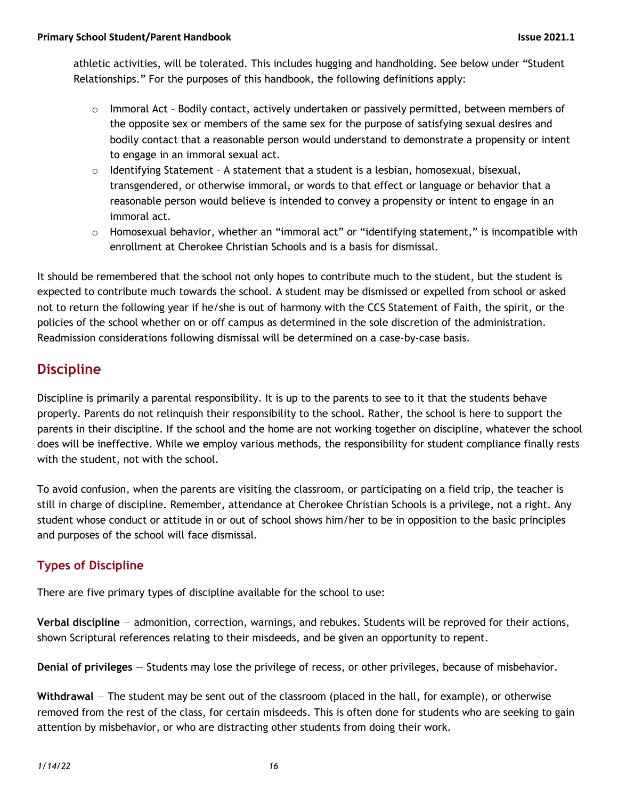athletic activities, will be tolerated. This includes hugging and handholding. See below under "Student Relationships." For the purposes of this handbook, the following definitions apply:

- $\circ$  Immoral Act Bodily contact, actively undertaken or passively permitted, between members of the opposite sex or members of the same sex for the purpose of satisfying sexual desires and bodily contact that a reasonable person would understand to demonstrate a propensity or intent to engage in an immoral sexual act.
- $\circ$  Identifying Statement A statement that a student is a lesbian, homosexual, bisexual, transgendered, or otherwise immoral, or words to that effect or language or behavior that a reasonable person would believe is intended to convey a propensity or intent to engage in an immoral act.
- $\circ$  Homosexual behavior, whether an "immoral act" or "identifying statement," is incompatible with enrollment at Cherokee Christian Schools and is a basis for dismissal.

It should be remembered that the school not only hopes to contribute much to the student, but the student is expected to contribute much towards the school. A student may be dismissed or expelled from school or asked not to return the following year if he/she is out of harmony with the CCS Statement of Faith, the spirit, or the policies of the school whether on or off campus as determined in the sole discretion of the administration. Readmission considerations following dismissal will be determined on a case-by-case basis.

# **Discipline**

Discipline is primarily a parental responsibility. It is up to the parents to see to it that the students behave properly. Parents do not relinquish their responsibility to the school. Rather, the school is here to support the parents in their discipline. If the school and the home are not working together on discipline, whatever the school does will be ineffective. While we employ various methods, the responsibility for student compliance finally rests with the student, not with the school.

To avoid confusion, when the parents are visiting the classroom, or participating on a field trip, the teacher is still in charge of discipline. Remember, attendance at Cherokee Christian Schools is a privilege, not a right. Any student whose conduct or attitude in or out of school shows him/her to be in opposition to the basic principles and purposes of the school will face dismissal.

### **Types of Discipline**

There are five primary types of discipline available for the school to use:

**Verbal discipline** — admonition, correction, warnings, and rebukes. Students will be reproved for their actions, shown Scriptural references relating to their misdeeds, and be given an opportunity to repent.

**Denial of privileges** — Students may lose the privilege of recess, or other privileges, because of misbehavior.

**Withdrawal** — The student may be sent out of the classroom (placed in the hall, for example), or otherwise removed from the rest of the class, for certain misdeeds. This is often done for students who are seeking to gain attention by misbehavior, or who are distracting other students from doing their work.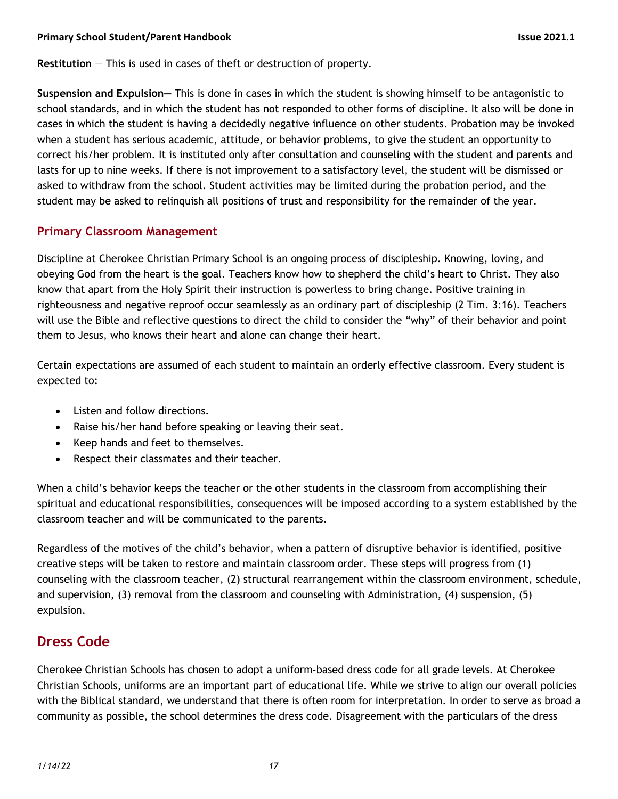**Restitution** — This is used in cases of theft or destruction of property.

**Suspension and Expulsion—** This is done in cases in which the student is showing himself to be antagonistic to school standards, and in which the student has not responded to other forms of discipline. It also will be done in cases in which the student is having a decidedly negative influence on other students. Probation may be invoked when a student has serious academic, attitude, or behavior problems, to give the student an opportunity to correct his/her problem. It is instituted only after consultation and counseling with the student and parents and lasts for up to nine weeks. If there is not improvement to a satisfactory level, the student will be dismissed or asked to withdraw from the school. Student activities may be limited during the probation period, and the student may be asked to relinquish all positions of trust and responsibility for the remainder of the year.

#### **Primary Classroom Management**

Discipline at Cherokee Christian Primary School is an ongoing process of discipleship. Knowing, loving, and obeying God from the heart is the goal. Teachers know how to shepherd the child's heart to Christ. They also know that apart from the Holy Spirit their instruction is powerless to bring change. Positive training in righteousness and negative reproof occur seamlessly as an ordinary part of discipleship (2 Tim. 3:16). Teachers will use the Bible and reflective questions to direct the child to consider the "why" of their behavior and point them to Jesus, who knows their heart and alone can change their heart.

Certain expectations are assumed of each student to maintain an orderly effective classroom. Every student is expected to:

- Listen and follow directions.
- Raise his/her hand before speaking or leaving their seat.
- Keep hands and feet to themselves.
- Respect their classmates and their teacher.

When a child's behavior keeps the teacher or the other students in the classroom from accomplishing their spiritual and educational responsibilities, consequences will be imposed according to a system established by the classroom teacher and will be communicated to the parents.

Regardless of the motives of the child's behavior, when a pattern of disruptive behavior is identified, positive creative steps will be taken to restore and maintain classroom order. These steps will progress from (1) counseling with the classroom teacher, (2) structural rearrangement within the classroom environment, schedule, and supervision, (3) removal from the classroom and counseling with Administration, (4) suspension, (5) expulsion.

### **Dress Code**

Cherokee Christian Schools has chosen to adopt a uniform-based dress code for all grade levels. At Cherokee Christian Schools, uniforms are an important part of educational life. While we strive to align our overall policies with the Biblical standard, we understand that there is often room for interpretation. In order to serve as broad a community as possible, the school determines the dress code. Disagreement with the particulars of the dress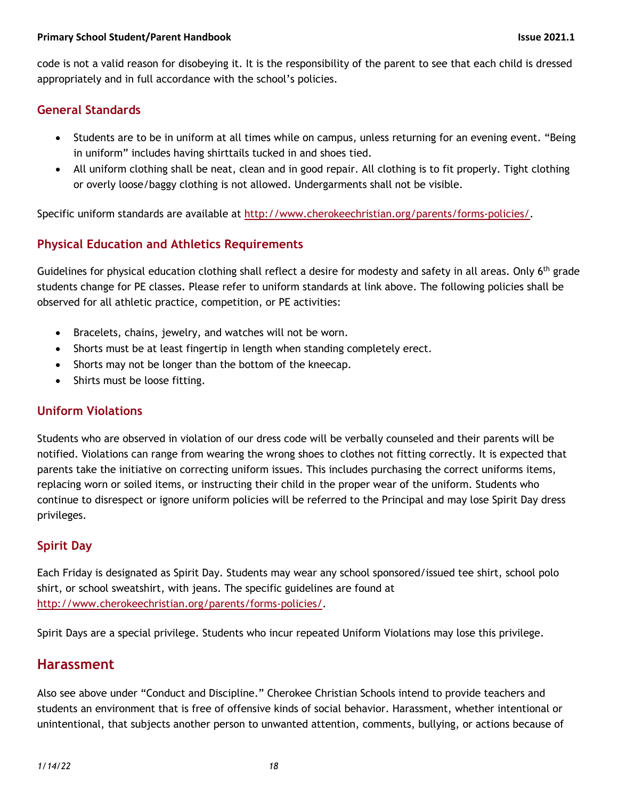code is not a valid reason for disobeying it. It is the responsibility of the parent to see that each child is dressed appropriately and in full accordance with the school's policies.

#### **General Standards**

- Students are to be in uniform at all times while on campus, unless returning for an evening event. "Being in uniform" includes having shirttails tucked in and shoes tied.
- All uniform clothing shall be neat, clean and in good repair. All clothing is to fit properly. Tight clothing or overly loose/baggy clothing is not allowed. Undergarments shall not be visible.

Specific uniform standards are available at http://www.cherokeechristian.org/parents/forms-policies/.

#### **Physical Education and Athletics Requirements**

Guidelines for physical education clothing shall reflect a desire for modesty and safety in all areas. Only 6<sup>th</sup> grade students change for PE classes. Please refer to uniform standards at link above. The following policies shall be observed for all athletic practice, competition, or PE activities:

- Bracelets, chains, jewelry, and watches will not be worn.
- Shorts must be at least fingertip in length when standing completely erect.
- Shorts may not be longer than the bottom of the kneecap.
- Shirts must be loose fitting.

#### **Uniform Violations**

Students who are observed in violation of our dress code will be verbally counseled and their parents will be notified. Violations can range from wearing the wrong shoes to clothes not fitting correctly. It is expected that parents take the initiative on correcting uniform issues. This includes purchasing the correct uniforms items, replacing worn or soiled items, or instructing their child in the proper wear of the uniform. Students who continue to disrespect or ignore uniform policies will be referred to the Principal and may lose Spirit Day dress privileges.

#### **Spirit Day**

Each Friday is designated as Spirit Day. Students may wear any school sponsored/issued tee shirt, school polo shirt, or school sweatshirt, with jeans. The specific guidelines are found at http://www.cherokeechristian.org/parents/forms-policies/.

Spirit Days are a special privilege. Students who incur repeated Uniform Violations may lose this privilege.

#### **Harassment**

Also see above under "Conduct and Discipline." Cherokee Christian Schools intend to provide teachers and students an environment that is free of offensive kinds of social behavior. Harassment, whether intentional or unintentional, that subjects another person to unwanted attention, comments, bullying, or actions because of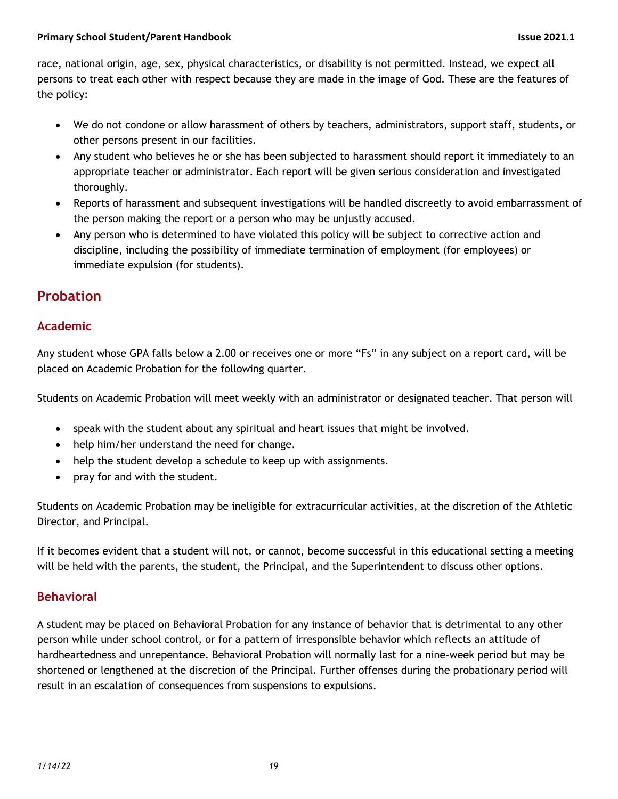race, national origin, age, sex, physical characteristics, or disability is not permitted. Instead, we expect all persons to treat each other with respect because they are made in the image of God. These are the features of the policy:

- We do not condone or allow harassment of others by teachers, administrators, support staff, students, or other persons present in our facilities.
- Any student who believes he or she has been subjected to harassment should report it immediately to an appropriate teacher or administrator. Each report will be given serious consideration and investigated thoroughly.
- Reports of harassment and subsequent investigations will be handled discreetly to avoid embarrassment of the person making the report or a person who may be unjustly accused.
- Any person who is determined to have violated this policy will be subject to corrective action and discipline, including the possibility of immediate termination of employment (for employees) or immediate expulsion (for students).

# **Probation**

#### **Academic**

Any student whose GPA falls below a 2.00 or receives one or more "Fs" in any subject on a report card, will be placed on Academic Probation for the following quarter.

Students on Academic Probation will meet weekly with an administrator or designated teacher. That person will

- speak with the student about any spiritual and heart issues that might be involved.
- help him/her understand the need for change.
- help the student develop a schedule to keep up with assignments.
- pray for and with the student.

Students on Academic Probation may be ineligible for extracurricular activities, at the discretion of the Athletic Director, and Principal.

If it becomes evident that a student will not, or cannot, become successful in this educational setting a meeting will be held with the parents, the student, the Principal, and the Superintendent to discuss other options.

#### **Behavioral**

A student may be placed on Behavioral Probation for any instance of behavior that is detrimental to any other person while under school control, or for a pattern of irresponsible behavior which reflects an attitude of hardheartedness and unrepentance. Behavioral Probation will normally last for a nine-week period but may be shortened or lengthened at the discretion of the Principal. Further offenses during the probationary period will result in an escalation of consequences from suspensions to expulsions.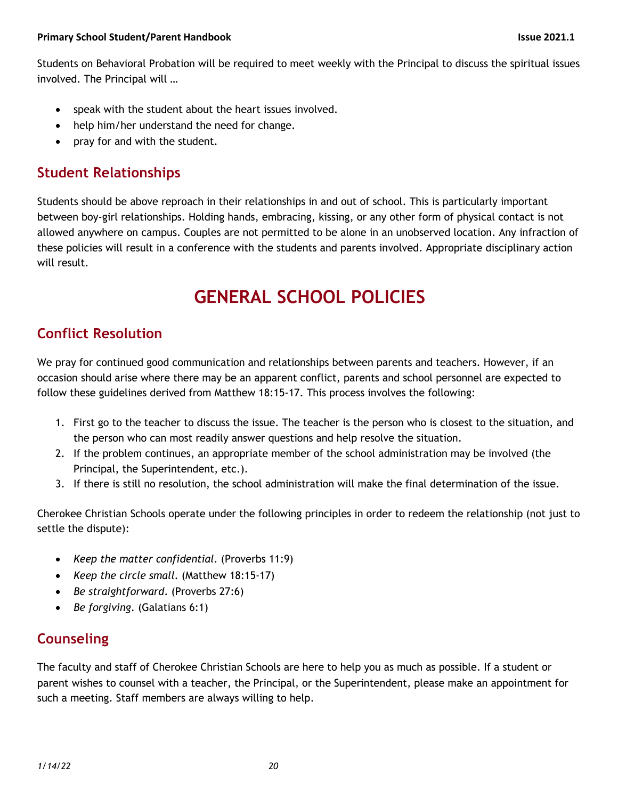Students on Behavioral Probation will be required to meet weekly with the Principal to discuss the spiritual issues involved. The Principal will …

- speak with the student about the heart issues involved.
- help him/her understand the need for change.
- pray for and with the student.

# **Student Relationships**

Students should be above reproach in their relationships in and out of school. This is particularly important between boy-girl relationships. Holding hands, embracing, kissing, or any other form of physical contact is not allowed anywhere on campus. Couples are not permitted to be alone in an unobserved location. Any infraction of these policies will result in a conference with the students and parents involved. Appropriate disciplinary action will result.

# **GENERAL SCHOOL POLICIES**

# **Conflict Resolution**

We pray for continued good communication and relationships between parents and teachers. However, if an occasion should arise where there may be an apparent conflict, parents and school personnel are expected to follow these guidelines derived from Matthew 18:15-17. This process involves the following:

- 1. First go to the teacher to discuss the issue. The teacher is the person who is closest to the situation, and the person who can most readily answer questions and help resolve the situation.
- 2. If the problem continues, an appropriate member of the school administration may be involved (the Principal, the Superintendent, etc.).
- 3. If there is still no resolution, the school administration will make the final determination of the issue.

Cherokee Christian Schools operate under the following principles in order to redeem the relationship (not just to settle the dispute):

- *Keep the matter confidential*. (Proverbs 11:9)
- *Keep the circle small*. (Matthew 18:15-17)
- *Be straightforward*. (Proverbs 27:6)
- *Be forgiving*. (Galatians 6:1)

# **Counseling**

The faculty and staff of Cherokee Christian Schools are here to help you as much as possible. If a student or parent wishes to counsel with a teacher, the Principal, or the Superintendent, please make an appointment for such a meeting. Staff members are always willing to help.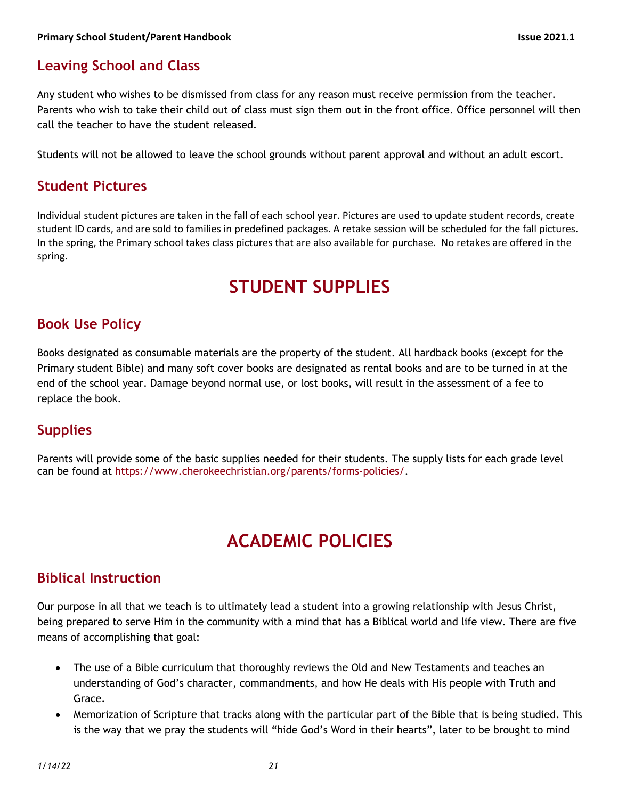## **Leaving School and Class**

Any student who wishes to be dismissed from class for any reason must receive permission from the teacher. Parents who wish to take their child out of class must sign them out in the front office. Office personnel will then call the teacher to have the student released.

Students will not be allowed to leave the school grounds without parent approval and without an adult escort.

#### **Student Pictures**

Individual student pictures are taken in the fall of each school year. Pictures are used to update student records, create student ID cards, and are sold to families in predefined packages. A retake session will be scheduled for the fall pictures. In the spring, the Primary school takes class pictures that are also available for purchase. No retakes are offered in the spring.

# **STUDENT SUPPLIES**

### **Book Use Policy**

Books designated as consumable materials are the property of the student. All hardback books (except for the Primary student Bible) and many soft cover books are designated as rental books and are to be turned in at the end of the school year. Damage beyond normal use, or lost books, will result in the assessment of a fee to replace the book.

### **Supplies**

Parents will provide some of the basic supplies needed for their students. The supply lists for each grade level can be found at https://www.cherokeechristian.org/parents/forms-policies/.

# **ACADEMIC POLICIES**

### **Biblical Instruction**

Our purpose in all that we teach is to ultimately lead a student into a growing relationship with Jesus Christ, being prepared to serve Him in the community with a mind that has a Biblical world and life view. There are five means of accomplishing that goal:

- The use of a Bible curriculum that thoroughly reviews the Old and New Testaments and teaches an understanding of God's character, commandments, and how He deals with His people with Truth and Grace.
- Memorization of Scripture that tracks along with the particular part of the Bible that is being studied. This is the way that we pray the students will "hide God's Word in their hearts", later to be brought to mind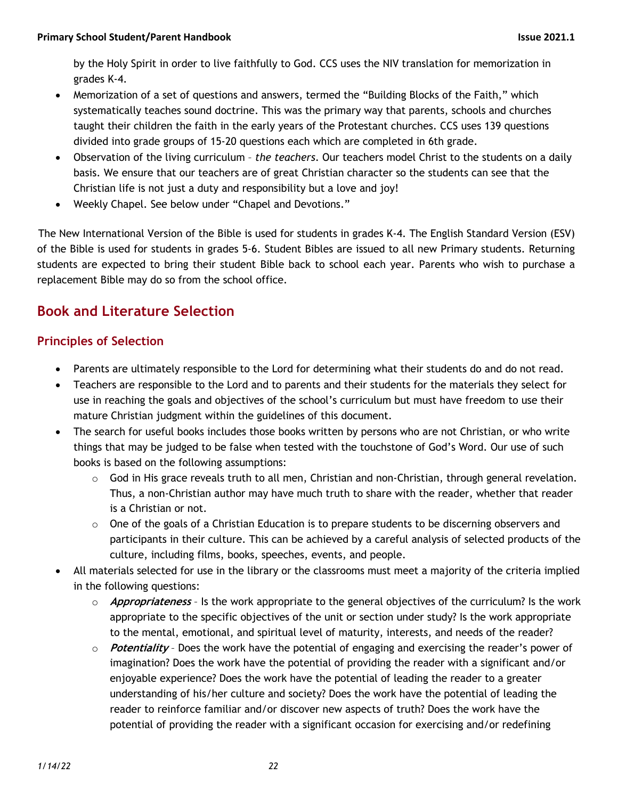by the Holy Spirit in order to live faithfully to God. CCS uses the NIV translation for memorization in grades K-4.

- Memorization of a set of questions and answers, termed the "Building Blocks of the Faith," which systematically teaches sound doctrine. This was the primary way that parents, schools and churches taught their children the faith in the early years of the Protestant churches. CCS uses 139 questions divided into grade groups of 15-20 questions each which are completed in 6th grade.
- Observation of the living curriculum *the teachers*. Our teachers model Christ to the students on a daily basis. We ensure that our teachers are of great Christian character so the students can see that the Christian life is not just a duty and responsibility but a love and joy!
- Weekly Chapel. See below under "Chapel and Devotions."

 The New International Version of the Bible is used for students in grades K-4. The English Standard Version (ESV) of the Bible is used for students in grades 5-6. Student Bibles are issued to all new Primary students. Returning students are expected to bring their student Bible back to school each year. Parents who wish to purchase a replacement Bible may do so from the school office.

# **Book and Literature Selection**

#### **Principles of Selection**

- Parents are ultimately responsible to the Lord for determining what their students do and do not read.
- Teachers are responsible to the Lord and to parents and their students for the materials they select for use in reaching the goals and objectives of the school's curriculum but must have freedom to use their mature Christian judgment within the guidelines of this document.
- The search for useful books includes those books written by persons who are not Christian, or who write things that may be judged to be false when tested with the touchstone of God's Word. Our use of such books is based on the following assumptions:
	- $\circ$  God in His grace reveals truth to all men, Christian and non-Christian, through general revelation. Thus, a non-Christian author may have much truth to share with the reader, whether that reader is a Christian or not.
	- $\circ$  One of the goals of a Christian Education is to prepare students to be discerning observers and participants in their culture. This can be achieved by a careful analysis of selected products of the culture, including films, books, speeches, events, and people.
- All materials selected for use in the library or the classrooms must meet a majority of the criteria implied in the following questions:
	- o **Appropriateness** Is the work appropriate to the general objectives of the curriculum? Is the work appropriate to the specific objectives of the unit or section under study? Is the work appropriate to the mental, emotional, and spiritual level of maturity, interests, and needs of the reader?
	- o **Potentiality** Does the work have the potential of engaging and exercising the reader's power of imagination? Does the work have the potential of providing the reader with a significant and/or enjoyable experience? Does the work have the potential of leading the reader to a greater understanding of his/her culture and society? Does the work have the potential of leading the reader to reinforce familiar and/or discover new aspects of truth? Does the work have the potential of providing the reader with a significant occasion for exercising and/or redefining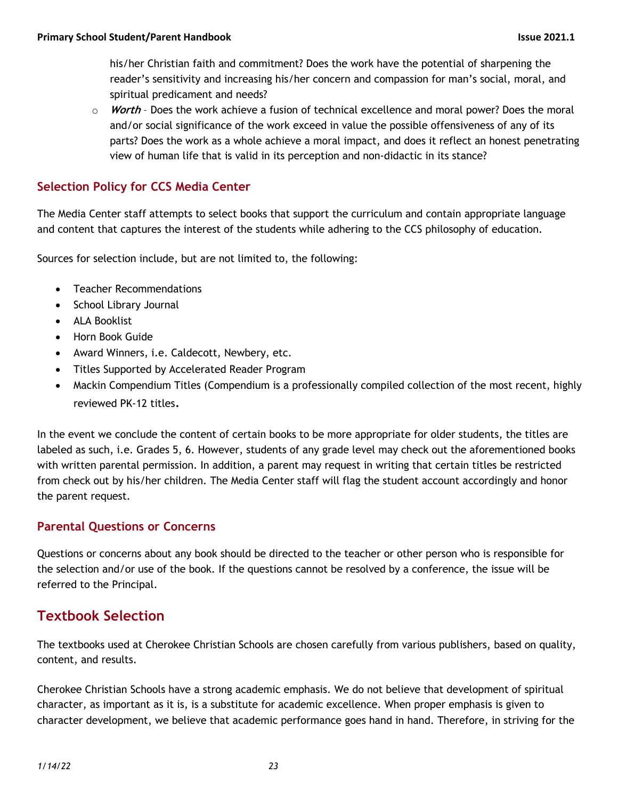his/her Christian faith and commitment? Does the work have the potential of sharpening the reader's sensitivity and increasing his/her concern and compassion for man's social, moral, and spiritual predicament and needs?

o **Worth** – Does the work achieve a fusion of technical excellence and moral power? Does the moral and/or social significance of the work exceed in value the possible offensiveness of any of its parts? Does the work as a whole achieve a moral impact, and does it reflect an honest penetrating view of human life that is valid in its perception and non-didactic in its stance?

#### **Selection Policy for CCS Media Center**

The Media Center staff attempts to select books that support the curriculum and contain appropriate language and content that captures the interest of the students while adhering to the CCS philosophy of education.

Sources for selection include, but are not limited to, the following:

- Teacher Recommendations
- School Library Journal
- ALA Booklist
- Horn Book Guide
- Award Winners, i.e. Caldecott, Newbery, etc.
- Titles Supported by Accelerated Reader Program
- Mackin Compendium Titles (Compendium is a professionally compiled collection of the most recent, highly reviewed PK-12 titles.

In the event we conclude the content of certain books to be more appropriate for older students, the titles are labeled as such, i.e. Grades 5, 6. However, students of any grade level may check out the aforementioned books with written parental permission. In addition, a parent may request in writing that certain titles be restricted from check out by his/her children. The Media Center staff will flag the student account accordingly and honor the parent request.

#### **Parental Questions or Concerns**

Questions or concerns about any book should be directed to the teacher or other person who is responsible for the selection and/or use of the book. If the questions cannot be resolved by a conference, the issue will be referred to the Principal.

# **Textbook Selection**

The textbooks used at Cherokee Christian Schools are chosen carefully from various publishers, based on quality, content, and results.

Cherokee Christian Schools have a strong academic emphasis. We do not believe that development of spiritual character, as important as it is, is a substitute for academic excellence. When proper emphasis is given to character development, we believe that academic performance goes hand in hand. Therefore, in striving for the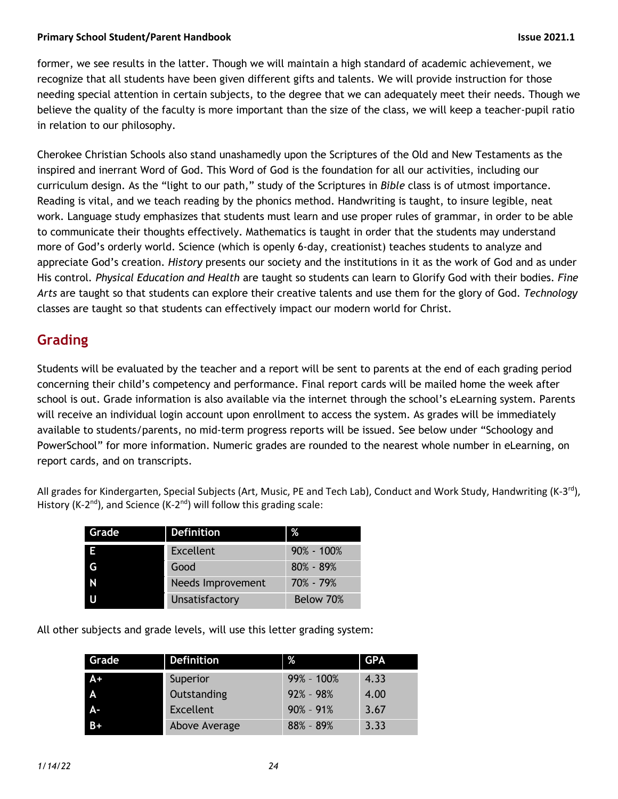#### **Primary School Student/Parent Handbook Issue 2021.1**

former, we see results in the latter. Though we will maintain a high standard of academic achievement, we recognize that all students have been given different gifts and talents. We will provide instruction for those needing special attention in certain subjects, to the degree that we can adequately meet their needs. Though we believe the quality of the faculty is more important than the size of the class, we will keep a teacher-pupil ratio in relation to our philosophy.

Cherokee Christian Schools also stand unashamedly upon the Scriptures of the Old and New Testaments as the inspired and inerrant Word of God. This Word of God is the foundation for all our activities, including our curriculum design. As the "light to our path," study of the Scriptures in *Bible* class is of utmost importance. Reading is vital, and we teach reading by the phonics method. Handwriting is taught, to insure legible, neat work. Language study emphasizes that students must learn and use proper rules of grammar, in order to be able to communicate their thoughts effectively. Mathematics is taught in order that the students may understand more of God's orderly world. Science (which is openly 6-day, creationist) teaches students to analyze and appreciate God's creation. *History* presents our society and the institutions in it as the work of God and as under His control*. Physical Education and Health* are taught so students can learn to Glorify God with their bodies. *Fine Arts* are taught so that students can explore their creative talents and use them for the glory of God. *Technology* classes are taught so that students can effectively impact our modern world for Christ.

## **Grading**

Students will be evaluated by the teacher and a report will be sent to parents at the end of each grading period concerning their child's competency and performance. Final report cards will be mailed home the week after school is out. Grade information is also available via the internet through the school's eLearning system. Parents will receive an individual login account upon enrollment to access the system. As grades will be immediately available to students/parents, no mid-term progress reports will be issued. See below under "Schoology and PowerSchool" for more information. Numeric grades are rounded to the nearest whole number in eLearning, on report cards, and on transcripts.

All grades for Kindergarten, Special Subjects (Art, Music, PE and Tech Lab), Conduct and Work Study, Handwriting (K-3<sup>rd</sup>), History (K-2<sup>nd</sup>), and Science (K-2<sup>nd</sup>) will follow this grading scale:

| Grade        | <b>Definition</b>        | ℅              |
|--------------|--------------------------|----------------|
| E            | <b>Excellent</b>         | $90\% - 100\%$ |
| G            | Good                     | $80\% - 89\%$  |
| $\mathsf{N}$ | <b>Needs Improvement</b> | 70% - 79%      |
|              | Unsatisfactory           | Below 70%      |

All other subjects and grade levels, will use this letter grading system:

| Grade | <b>Definition</b> | %              | <b>GPA</b> |
|-------|-------------------|----------------|------------|
| A+    | Superior          | $99\% - 100\%$ | 4.33       |
| A     | Outstanding       | $92\% - 98\%$  | 4.00       |
| А-    | Excellent         | $90\% - 91\%$  | 3.67       |
| $B+$  | Above Average     | $88% - 89%$    | 3.33       |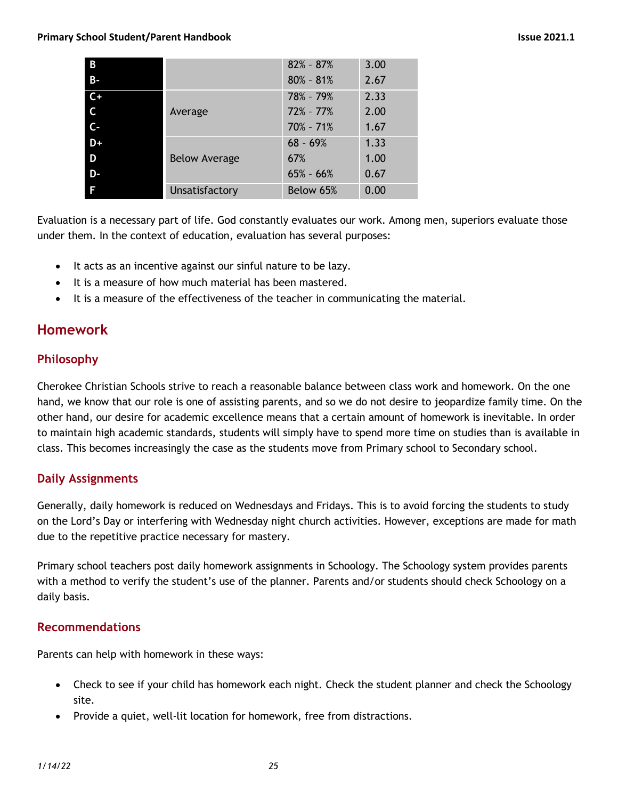#### **Primary School Student/Parent Handbook Issue 2021.1**

| B              |                      | $82\% - 87\%$ | 3.00 |
|----------------|----------------------|---------------|------|
| $B -$          |                      | $80\% - 81\%$ | 2.67 |
| $C+$           |                      | 78% - 79%     | 2.33 |
| $\overline{C}$ | Average              | $72\% - 77\%$ | 2.00 |
| $C -$          |                      | $70\% - 71\%$ | 1.67 |
| $D+$           |                      | $68 - 69%$    | 1.33 |
| D              | <b>Below Average</b> | 67%           | 1.00 |
| D-             |                      | $65\% - 66\%$ | 0.67 |
| F              | Unsatisfactory       | Below 65%     | 0.00 |

Evaluation is a necessary part of life. God constantly evaluates our work. Among men, superiors evaluate those under them. In the context of education, evaluation has several purposes:

- It acts as an incentive against our sinful nature to be lazy.
- It is a measure of how much material has been mastered.
- It is a measure of the effectiveness of the teacher in communicating the material.

### **Homework**

#### **Philosophy**

Cherokee Christian Schools strive to reach a reasonable balance between class work and homework. On the one hand, we know that our role is one of assisting parents, and so we do not desire to jeopardize family time. On the other hand, our desire for academic excellence means that a certain amount of homework is inevitable. In order to maintain high academic standards, students will simply have to spend more time on studies than is available in class. This becomes increasingly the case as the students move from Primary school to Secondary school.

#### **Daily Assignments**

Generally, daily homework is reduced on Wednesdays and Fridays. This is to avoid forcing the students to study on the Lord's Day or interfering with Wednesday night church activities. However, exceptions are made for math due to the repetitive practice necessary for mastery.

Primary school teachers post daily homework assignments in Schoology. The Schoology system provides parents with a method to verify the student's use of the planner. Parents and/or students should check Schoology on a daily basis.

#### **Recommendations**

Parents can help with homework in these ways:

- Check to see if your child has homework each night. Check the student planner and check the Schoology site.
- Provide a quiet, well-lit location for homework, free from distractions.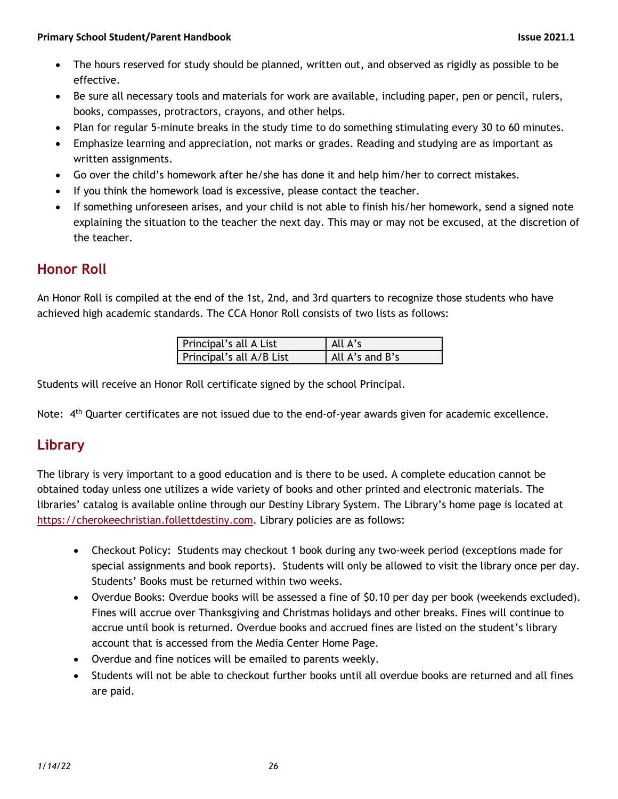- The hours reserved for study should be planned, written out, and observed as rigidly as possible to be effective.
- Be sure all necessary tools and materials for work are available, including paper, pen or pencil, rulers, books, compasses, protractors, crayons, and other helps.
- Plan for regular 5-minute breaks in the study time to do something stimulating every 30 to 60 minutes.
- Emphasize learning and appreciation, not marks or grades. Reading and studying are as important as written assignments.
- Go over the child's homework after he/she has done it and help him/her to correct mistakes.
- If you think the homework load is excessive, please contact the teacher.
- If something unforeseen arises, and your child is not able to finish his/her homework, send a signed note explaining the situation to the teacher the next day. This may or may not be excused, at the discretion of the teacher.

### **Honor Roll**

An Honor Roll is compiled at the end of the 1st, 2nd, and 3rd quarters to recognize those students who have achieved high academic standards. The CCA Honor Roll consists of two lists as follows:

| Principal's all A List   | All A's         |
|--------------------------|-----------------|
| Principal's all A/B List | All A's and B's |

Students will receive an Honor Roll certificate signed by the school Principal.

Note:  $4<sup>th</sup>$  Quarter certificates are not issued due to the end-of-year awards given for academic excellence.

# **Library**

The library is very important to a good education and is there to be used. A complete education cannot be obtained today unless one utilizes a wide variety of books and other printed and electronic materials. The libraries' catalog is available online through our Destiny Library System. The Library's home page is located at https://cherokeechristian.follettdestiny.com. Library policies are as follows:

- Checkout Policy: Students may checkout 1 book during any two-week period (exceptions made for special assignments and book reports). Students will only be allowed to visit the library once per day. Students' Books must be returned within two weeks.
- Overdue Books: Overdue books will be assessed a fine of \$0.10 per day per book (weekends excluded). Fines will accrue over Thanksgiving and Christmas holidays and other breaks. Fines will continue to accrue until book is returned. Overdue books and accrued fines are listed on the student's library account that is accessed from the Media Center Home Page.
- Overdue and fine notices will be emailed to parents weekly.
- Students will not be able to checkout further books until all overdue books are returned and all fines are paid.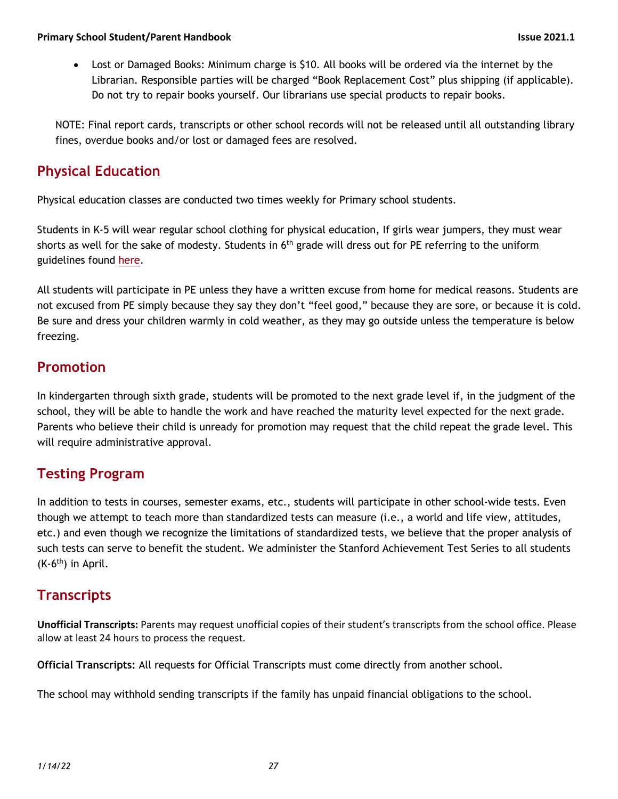• Lost or Damaged Books: Minimum charge is \$10. All books will be ordered via the internet by the Librarian. Responsible parties will be charged "Book Replacement Cost" plus shipping (if applicable). Do not try to repair books yourself. Our librarians use special products to repair books.

NOTE: Final report cards, transcripts or other school records will not be released until all outstanding library fines, overdue books and/or lost or damaged fees are resolved.

## **Physical Education**

Physical education classes are conducted two times weekly for Primary school students.

Students in K-5 will wear regular school clothing for physical education, If girls wear jumpers, they must wear shorts as well for the sake of modesty. Students in  $6<sup>th</sup>$  grade will dress out for PE referring to the uniform guidelines found here.

All students will participate in PE unless they have a written excuse from home for medical reasons. Students are not excused from PE simply because they say they don't "feel good," because they are sore, or because it is cold. Be sure and dress your children warmly in cold weather, as they may go outside unless the temperature is below freezing.

# **Promotion**

In kindergarten through sixth grade, students will be promoted to the next grade level if, in the judgment of the school, they will be able to handle the work and have reached the maturity level expected for the next grade. Parents who believe their child is unready for promotion may request that the child repeat the grade level. This will require administrative approval.

# **Testing Program**

In addition to tests in courses, semester exams, etc., students will participate in other school-wide tests. Even though we attempt to teach more than standardized tests can measure (i.e., a world and life view, attitudes, etc.) and even though we recognize the limitations of standardized tests, we believe that the proper analysis of such tests can serve to benefit the student. We administer the Stanford Achievement Test Series to all students  $(K-6<sup>th</sup>)$  in April.

### **Transcripts**

**Unofficial Transcripts:** Parents may request unofficial copies of their student's transcripts from the school office. Please allow at least 24 hours to process the request.

**Official Transcripts:** All requests for Official Transcripts must come directly from another school.

The school may withhold sending transcripts if the family has unpaid financial obligations to the school.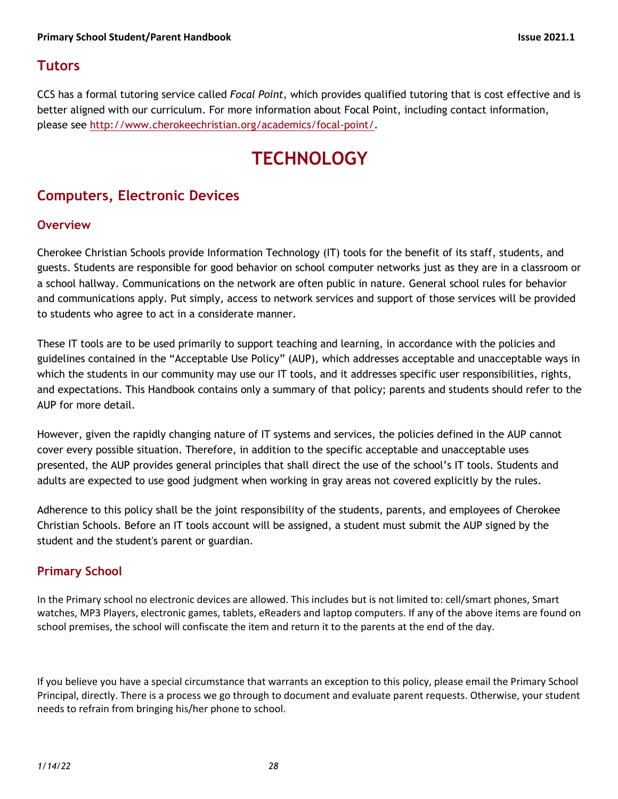## **Tutors**

CCS has a formal tutoring service called *Focal Point,* which provides qualified tutoring that is cost effective and is better aligned with our curriculum. For more information about Focal Point, including contact information, please see http://www.cherokeechristian.org/academics/focal-point/.

# **TECHNOLOGY**

# **Computers, Electronic Devices**

#### **Overview**

Cherokee Christian Schools provide Information Technology (IT) tools for the benefit of its staff, students, and guests. Students are responsible for good behavior on school computer networks just as they are in a classroom or a school hallway. Communications on the network are often public in nature. General school rules for behavior and communications apply. Put simply, access to network services and support of those services will be provided to students who agree to act in a considerate manner.

These IT tools are to be used primarily to support teaching and learning, in accordance with the policies and guidelines contained in the "Acceptable Use Policy" (AUP), which addresses acceptable and unacceptable ways in which the students in our community may use our IT tools, and it addresses specific user responsibilities, rights, and expectations. This Handbook contains only a summary of that policy; parents and students should refer to the AUP for more detail.

However, given the rapidly changing nature of IT systems and services, the policies defined in the AUP cannot cover every possible situation. Therefore, in addition to the specific acceptable and unacceptable uses presented, the AUP provides general principles that shall direct the use of the school's IT tools. Students and adults are expected to use good judgment when working in gray areas not covered explicitly by the rules.

Adherence to this policy shall be the joint responsibility of the students, parents, and employees of Cherokee Christian Schools. Before an IT tools account will be assigned, a student must submit the AUP signed by the student and the student's parent or guardian.

#### **Primary School**

In the Primary school no electronic devices are allowed. This includes but is not limited to: cell/smart phones, Smart watches, MP3 Players, electronic games, tablets, eReaders and laptop computers. If any of the above items are found on school premises, the school will confiscate the item and return it to the parents at the end of the day.

If you believe you have a special circumstance that warrants an exception to this policy, please email the Primary School Principal, directly. There is a process we go through to document and evaluate parent requests. Otherwise, your student needs to refrain from bringing his/her phone to school.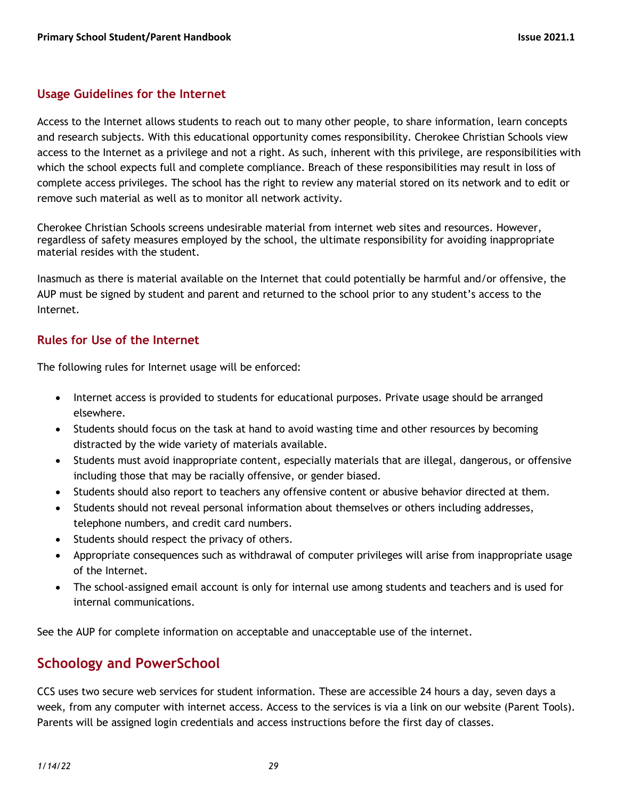#### **Usage Guidelines for the Internet**

Access to the Internet allows students to reach out to many other people, to share information, learn concepts and research subjects. With this educational opportunity comes responsibility. Cherokee Christian Schools view access to the Internet as a privilege and not a right. As such, inherent with this privilege, are responsibilities with which the school expects full and complete compliance. Breach of these responsibilities may result in loss of complete access privileges. The school has the right to review any material stored on its network and to edit or remove such material as well as to monitor all network activity.

Cherokee Christian Schools screens undesirable material from internet web sites and resources. However, regardless of safety measures employed by the school, the ultimate responsibility for avoiding inappropriate material resides with the student.

Inasmuch as there is material available on the Internet that could potentially be harmful and/or offensive, the AUP must be signed by student and parent and returned to the school prior to any student's access to the Internet.

#### **Rules for Use of the Internet**

The following rules for Internet usage will be enforced:

- Internet access is provided to students for educational purposes. Private usage should be arranged elsewhere.
- Students should focus on the task at hand to avoid wasting time and other resources by becoming distracted by the wide variety of materials available.
- Students must avoid inappropriate content, especially materials that are illegal, dangerous, or offensive including those that may be racially offensive, or gender biased.
- Students should also report to teachers any offensive content or abusive behavior directed at them.
- Students should not reveal personal information about themselves or others including addresses, telephone numbers, and credit card numbers.
- Students should respect the privacy of others.
- Appropriate consequences such as withdrawal of computer privileges will arise from inappropriate usage of the Internet.
- The school-assigned email account is only for internal use among students and teachers and is used for internal communications.

See the AUP for complete information on acceptable and unacceptable use of the internet.

### **Schoology and PowerSchool**

CCS uses two secure web services for student information. These are accessible 24 hours a day, seven days a week, from any computer with internet access. Access to the services is via a link on our website (Parent Tools). Parents will be assigned login credentials and access instructions before the first day of classes.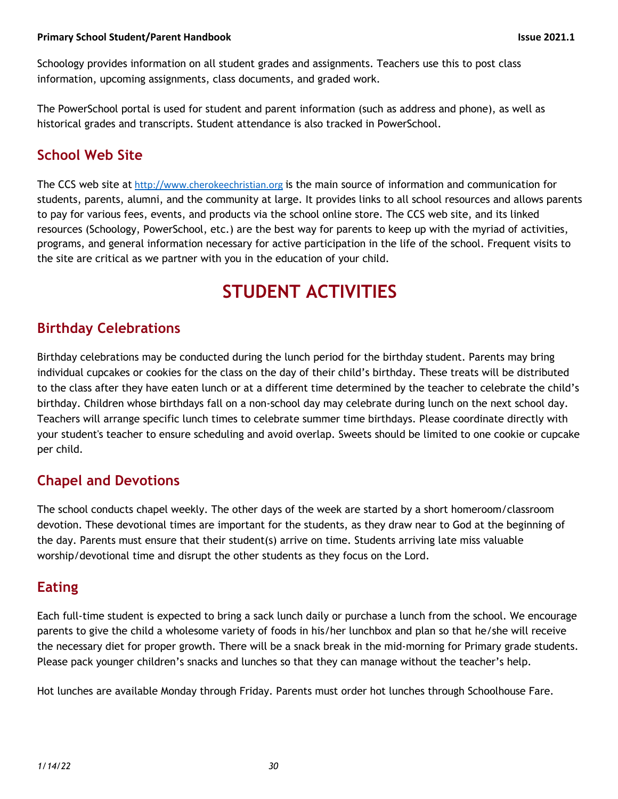Schoology provides information on all student grades and assignments. Teachers use this to post class information, upcoming assignments, class documents, and graded work.

The PowerSchool portal is used for student and parent information (such as address and phone), as well as historical grades and transcripts. Student attendance is also tracked in PowerSchool.

# **School Web Site**

The CCS web site at http://www.cherokeechristian.org is the main source of information and communication for students, parents, alumni, and the community at large. It provides links to all school resources and allows parents to pay for various fees, events, and products via the school online store. The CCS web site, and its linked resources (Schoology, PowerSchool, etc.) are the best way for parents to keep up with the myriad of activities, programs, and general information necessary for active participation in the life of the school. Frequent visits to the site are critical as we partner with you in the education of your child.

# **STUDENT ACTIVITIES**

# **Birthday Celebrations**

Birthday celebrations may be conducted during the lunch period for the birthday student. Parents may bring individual cupcakes or cookies for the class on the day of their child's birthday. These treats will be distributed to the class after they have eaten lunch or at a different time determined by the teacher to celebrate the child's birthday. Children whose birthdays fall on a non-school day may celebrate during lunch on the next school day. Teachers will arrange specific lunch times to celebrate summer time birthdays. Please coordinate directly with your student's teacher to ensure scheduling and avoid overlap. Sweets should be limited to one cookie or cupcake per child.

# **Chapel and Devotions**

The school conducts chapel weekly. The other days of the week are started by a short homeroom/classroom devotion. These devotional times are important for the students, as they draw near to God at the beginning of the day. Parents must ensure that their student(s) arrive on time. Students arriving late miss valuable worship/devotional time and disrupt the other students as they focus on the Lord.

# **Eating**

Each full-time student is expected to bring a sack lunch daily or purchase a lunch from the school. We encourage parents to give the child a wholesome variety of foods in his/her lunchbox and plan so that he/she will receive the necessary diet for proper growth. There will be a snack break in the mid-morning for Primary grade students. Please pack younger children's snacks and lunches so that they can manage without the teacher's help.

Hot lunches are available Monday through Friday. Parents must order hot lunches through Schoolhouse Fare.